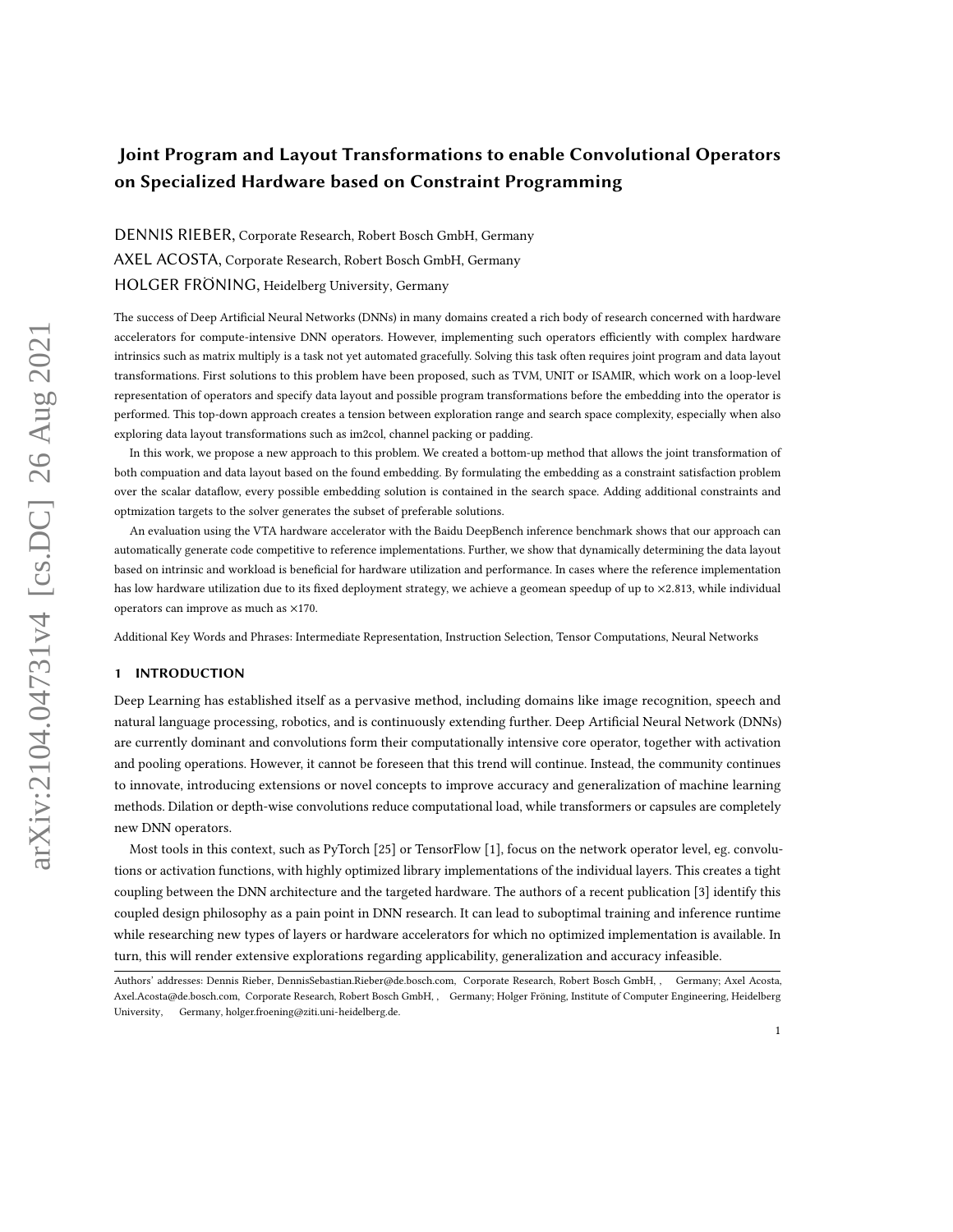# Joint Program and Layout Transformations to enable Convolutional Operators on Specialized Hardware based on Constraint Programming

DENNIS RIEBER, Corporate Research, Robert Bosch GmbH, Germany AXEL ACOSTA, Corporate Research, Robert Bosch GmbH, Germany HOLGER FRÖNING, Heidelberg University, Germany

The success of Deep Artificial Neural Networks (DNNs) in many domains created a rich body of research concerned with hardware accelerators for compute-intensive DNN operators. However, implementing such operators efficiently with complex hardware intrinsics such as matrix multiply is a task not yet automated gracefully. Solving this task often requires joint program and data layout transformations. First solutions to this problem have been proposed, such as TVM, UNIT or ISAMIR, which work on a loop-level representation of operators and specify data layout and possible program transformations before the embedding into the operator is performed. This top-down approach creates a tension between exploration range and search space complexity, especially when also exploring data layout transformations such as im2col, channel packing or padding.

In this work, we propose a new approach to this problem. We created a bottom-up method that allows the joint transformation of both compuation and data layout based on the found embedding. By formulating the embedding as a constraint satisfaction problem over the scalar dataflow, every possible embedding solution is contained in the search space. Adding additional constraints and optmization targets to the solver generates the subset of preferable solutions.

An evaluation using the VTA hardware accelerator with the Baidu DeepBench inference benchmark shows that our approach can automatically generate code competitive to reference implementations. Further, we show that dynamically determining the data layout based on intrinsic and workload is beneficial for hardware utilization and performance. In cases where the reference implementation has low hardware utilization due to its fixed deployment strategy, we achieve a geomean speedup of up to ×2.813, while individual operators can improve as much as ×170.

Additional Key Words and Phrases: Intermediate Representation, Instruction Selection, Tensor Computations, Neural Networks

#### 1 INTRODUCTION

Deep Learning has established itself as a pervasive method, including domains like image recognition, speech and natural language processing, robotics, and is continuously extending further. Deep Artificial Neural Network (DNNs) are currently dominant and convolutions form their computationally intensive core operator, together with activation and pooling operations. However, it cannot be foreseen that this trend will continue. Instead, the community continues to innovate, introducing extensions or novel concepts to improve accuracy and generalization of machine learning methods. Dilation or depth-wise convolutions reduce computational load, while transformers or capsules are completely new DNN operators.

Most tools in this context, such as PyTorch [\[25\]](#page-23-0) or TensorFlow [\[1\]](#page-22-0), focus on the network operator level, eg. convolutions or activation functions, with highly optimized library implementations of the individual layers. This creates a tight coupling between the DNN architecture and the targeted hardware. The authors of a recent publication [\[3\]](#page-22-1) identify this coupled design philosophy as a pain point in DNN research. It can lead to suboptimal training and inference runtime while researching new types of layers or hardware accelerators for which no optimized implementation is available. In turn, this will render extensive explorations regarding applicability, generalization and accuracy infeasible.

Authors' addresses: Dennis Rieber, DennisSebastian.Rieber@de.bosch.com, Corporate Research, Robert Bosch GmbH, , Germany; Axel Acosta, Axel.Acosta@de.bosch.com, Corporate Research, Robert Bosch GmbH, , Germany; Holger Fröning, Institute of Computer Engineering, Heidelberg University, Germany, holger.froening@ziti.uni-heidelberg.de.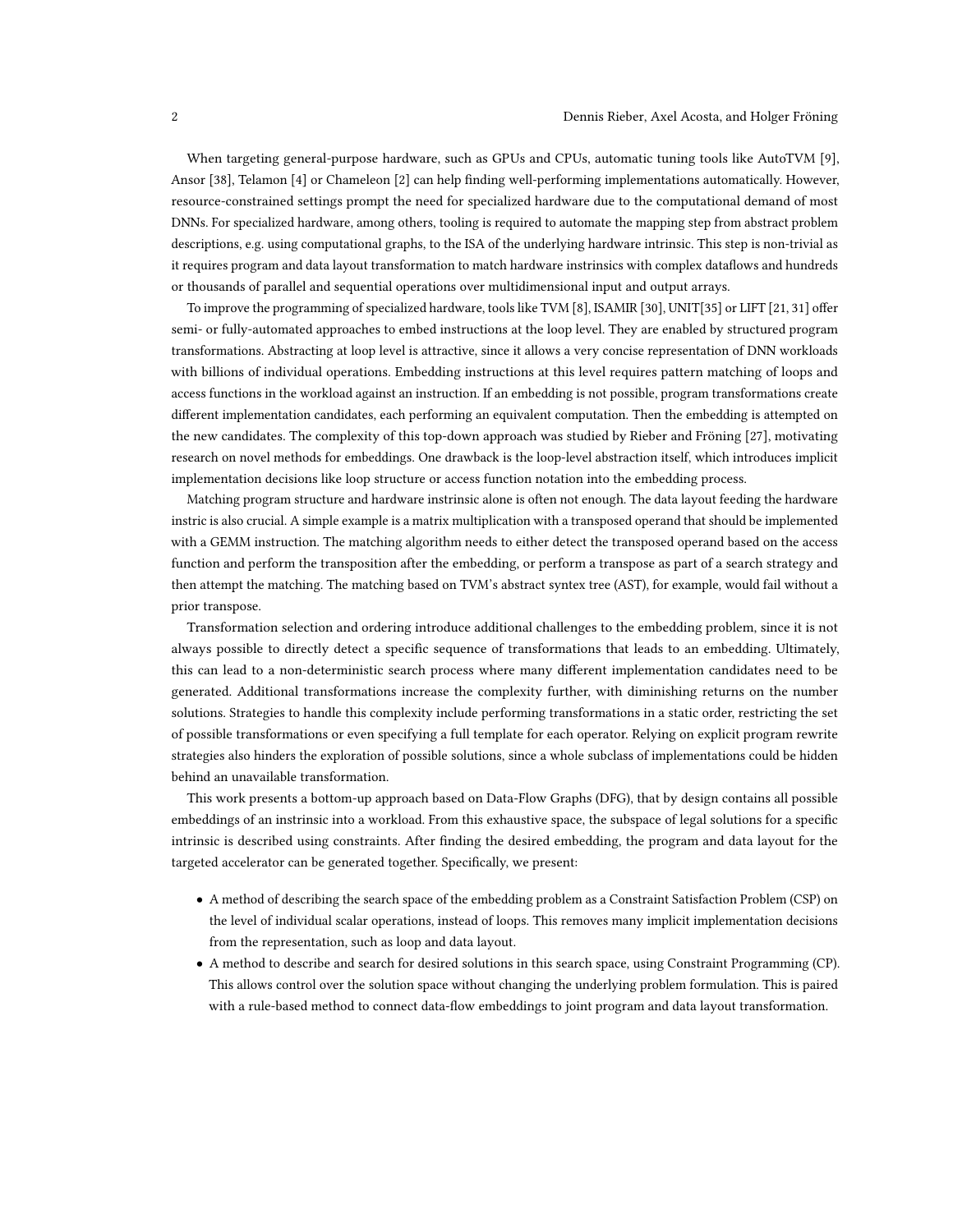When targeting general-purpose hardware, such as GPUs and CPUs, automatic tuning tools like AutoTVM [\[9\]](#page-22-2), Ansor [\[38\]](#page-24-0), Telamon [\[4\]](#page-22-3) or Chameleon [\[2\]](#page-22-4) can help finding well-performing implementations automatically. However, resource-constrained settings prompt the need for specialized hardware due to the computational demand of most DNNs. For specialized hardware, among others, tooling is required to automate the mapping step from abstract problem descriptions, e.g. using computational graphs, to the ISA of the underlying hardware intrinsic. This step is non-trivial as it requires program and data layout transformation to match hardware instrinsics with complex dataflows and hundreds or thousands of parallel and sequential operations over multidimensional input and output arrays.

To improve the programming of specialized hardware, tools like TVM [\[8\]](#page-22-5), ISAMIR [\[30\]](#page-23-1), UNIT[\[35\]](#page-24-1) or LIFT [\[21,](#page-23-2) [31\]](#page-23-3) offer semi- or fully-automated approaches to embed instructions at the loop level. They are enabled by structured program transformations. Abstracting at loop level is attractive, since it allows a very concise representation of DNN workloads with billions of individual operations. Embedding instructions at this level requires pattern matching of loops and access functions in the workload against an instruction. If an embedding is not possible, program transformations create different implementation candidates, each performing an equivalent computation. Then the embedding is attempted on the new candidates. The complexity of this top-down approach was studied by Rieber and Fröning [\[27\]](#page-23-4), motivating research on novel methods for embeddings. One drawback is the loop-level abstraction itself, which introduces implicit implementation decisions like loop structure or access function notation into the embedding process.

Matching program structure and hardware instrinsic alone is often not enough. The data layout feeding the hardware instric is also crucial. A simple example is a matrix multiplication with a transposed operand that should be implemented with a GEMM instruction. The matching algorithm needs to either detect the transposed operand based on the access function and perform the transposition after the embedding, or perform a transpose as part of a search strategy and then attempt the matching. The matching based on TVM's abstract syntex tree (AST), for example, would fail without a prior transpose.

Transformation selection and ordering introduce additional challenges to the embedding problem, since it is not always possible to directly detect a specific sequence of transformations that leads to an embedding. Ultimately, this can lead to a non-deterministic search process where many different implementation candidates need to be generated. Additional transformations increase the complexity further, with diminishing returns on the number solutions. Strategies to handle this complexity include performing transformations in a static order, restricting the set of possible transformations or even specifying a full template for each operator. Relying on explicit program rewrite strategies also hinders the exploration of possible solutions, since a whole subclass of implementations could be hidden behind an unavailable transformation.

This work presents a bottom-up approach based on Data-Flow Graphs (DFG), that by design contains all possible embeddings of an instrinsic into a workload. From this exhaustive space, the subspace of legal solutions for a specific intrinsic is described using constraints. After finding the desired embedding, the program and data layout for the targeted accelerator can be generated together. Specifically, we present:

- A method of describing the search space of the embedding problem as a Constraint Satisfaction Problem (CSP) on the level of individual scalar operations, instead of loops. This removes many implicit implementation decisions from the representation, such as loop and data layout.
- A method to describe and search for desired solutions in this search space, using Constraint Programming (CP). This allows control over the solution space without changing the underlying problem formulation. This is paired with a rule-based method to connect data-flow embeddings to joint program and data layout transformation.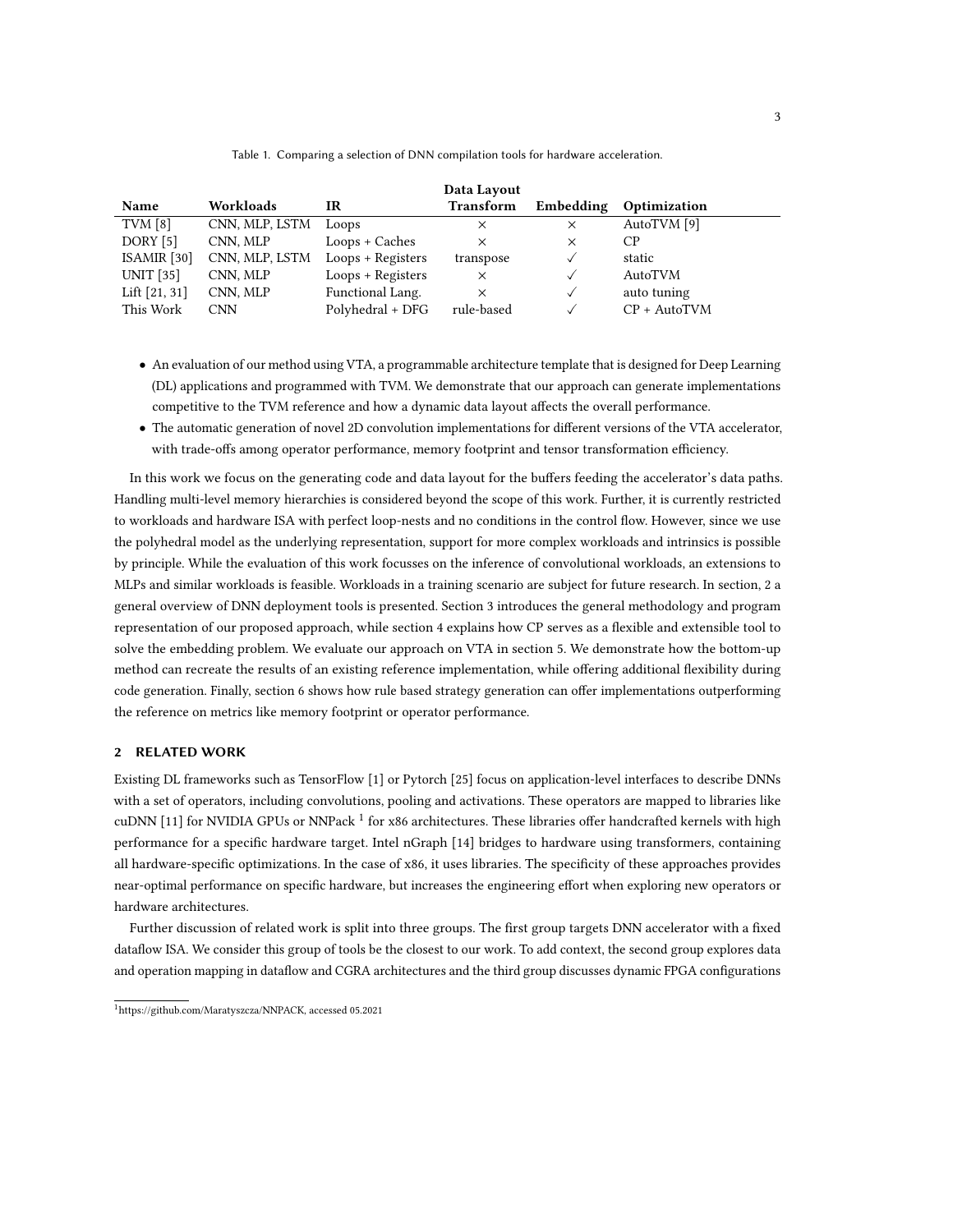#### Table 1. Comparing a selection of DNN compilation tools for hardware acceleration.

<span id="page-2-2"></span>

|                  |                |                     | Data Layout      |              |                |
|------------------|----------------|---------------------|------------------|--------------|----------------|
| Name             | Workloads      | IR                  | <b>Transform</b> | Embedding    | Optimization   |
| TVM $[8]$        | CNN, MLP, LSTM | Loops               | ×                | $\times$     | AutoTVM [9]    |
| DORY [5]         | CNN, MLP       | Loops + Caches      | ×                | ×            | СP             |
| ISAMIR $[30]$    | CNN, MLP, LSTM | Loops + Registers   | transpose        | $\checkmark$ | static         |
| <b>UNIT</b> [35] | CNN, MLP       | $Loops + Registers$ | $\times$         |              | AutoTVM        |
| Lift $[21, 31]$  | CNN, MLP       | Functional Lang.    | $\times$         |              | auto tuning    |
| This Work        | <b>CNN</b>     | Polyhedral + DFG    | rule-based       |              | $CP + AutoTVM$ |

- An evaluation of our method using VTA, a programmable architecture template that is designed for Deep Learning (DL) applications and programmed with TVM. We demonstrate that our approach can generate implementations competitive to the TVM reference and how a dynamic data layout affects the overall performance.
- The automatic generation of novel 2D convolution implementations for different versions of the VTA accelerator, with trade-offs among operator performance, memory footprint and tensor transformation efficiency.

In this work we focus on the generating code and data layout for the buffers feeding the accelerator's data paths. Handling multi-level memory hierarchies is considered beyond the scope of this work. Further, it is currently restricted to workloads and hardware ISA with perfect loop-nests and no conditions in the control flow. However, since we use the polyhedral model as the underlying representation, support for more complex workloads and intrinsics is possible by principle. While the evaluation of this work focusses on the inference of convolutional workloads, an extensions to MLPs and similar workloads is feasible. Workloads in a training scenario are subject for future research. In section, [2](#page-2-0) a general overview of DNN deployment tools is presented. Section [3](#page-4-0) introduces the general methodology and program representation of our proposed approach, while section [4](#page-8-0) explains how CP serves as a flexible and extensible tool to solve the embedding problem. We evaluate our approach on VTA in section [5.](#page-12-0) We demonstrate how the bottom-up method can recreate the results of an existing reference implementation, while offering additional flexibility during code generation. Finally, section [6](#page-16-0) shows how rule based strategy generation can offer implementations outperforming the reference on metrics like memory footprint or operator performance.

# <span id="page-2-0"></span>2 RELATED WORK

Existing DL frameworks such as TensorFlow [\[1\]](#page-22-0) or Pytorch [\[25\]](#page-23-0) focus on application-level interfaces to describe DNNs with a set of operators, including convolutions, pooling and activations. These operators are mapped to libraries like cuDNN [\[11\]](#page-23-5) for NVIDIA GPUs or NNPack  $^1$  $^1$  for x86 architectures. These libraries offer handcrafted kernels with high performance for a specific hardware target. Intel nGraph [\[14\]](#page-23-6) bridges to hardware using transformers, containing all hardware-specific optimizations. In the case of x86, it uses libraries. The specificity of these approaches provides near-optimal performance on specific hardware, but increases the engineering effort when exploring new operators or hardware architectures.

Further discussion of related work is split into three groups. The first group targets DNN accelerator with a fixed dataflow ISA. We consider this group of tools be the closest to our work. To add context, the second group explores data and operation mapping in dataflow and CGRA architectures and the third group discusses dynamic FPGA configurations

<span id="page-2-1"></span><sup>1</sup>[https://github.com/Maratyszcza/NNPACK,](https://github.com/Maratyszcza/NNPACK) accessed 05.2021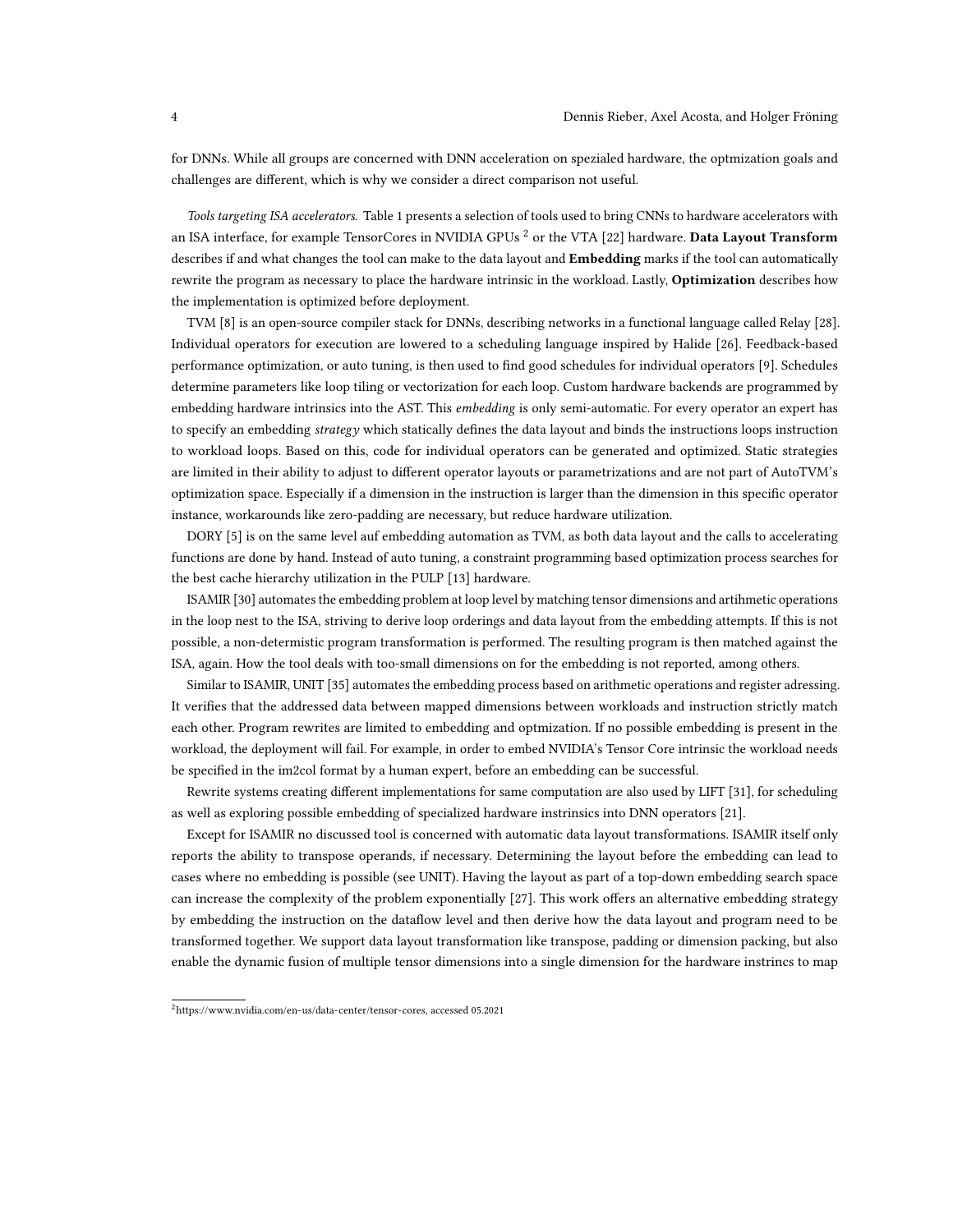for DNNs. While all groups are concerned with DNN acceleration on spezialed hardware, the optmization goals and challenges are different, which is why we consider a direct comparison not useful.

Tools targeting ISA accelerators. Table [1](#page-2-2) presents a selection of tools used to bring CNNs to hardware accelerators with an ISA interface, for example TensorCores in NVIDIA GPUs  $^2$  $^2$  or the VTA [\[22\]](#page-23-7) hardware. Data Layout Transform describes if and what changes the tool can make to the data layout and **Embedding** marks if the tool can automatically rewrite the program as necessary to place the hardware intrinsic in the workload. Lastly, Optimization describes how the implementation is optimized before deployment.

TVM [\[8\]](#page-22-5) is an open-source compiler stack for DNNs, describing networks in a functional language called Relay [\[28\]](#page-23-8). Individual operators for execution are lowered to a scheduling language inspired by Halide [\[26\]](#page-23-9). Feedback-based performance optimization, or auto tuning, is then used to find good schedules for individual operators [\[9\]](#page-22-2). Schedules determine parameters like loop tiling or vectorization for each loop. Custom hardware backends are programmed by embedding hardware intrinsics into the AST. This embedding is only semi-automatic. For every operator an expert has to specify an embedding strategy which statically defines the data layout and binds the instructions loops instruction to workload loops. Based on this, code for individual operators can be generated and optimized. Static strategies are limited in their ability to adjust to different operator layouts or parametrizations and are not part of AutoTVM's optimization space. Especially if a dimension in the instruction is larger than the dimension in this specific operator instance, workarounds like zero-padding are necessary, but reduce hardware utilization.

DORY [\[5\]](#page-22-6) is on the same level auf embedding automation as TVM, as both data layout and the calls to accelerating functions are done by hand. Instead of auto tuning, a constraint programming based optimization process searches for the best cache hierarchy utilization in the PULP [\[13\]](#page-23-10) hardware.

ISAMIR [\[30\]](#page-23-1) automates the embedding problem at loop level by matching tensor dimensions and artihmetic operations in the loop nest to the ISA, striving to derive loop orderings and data layout from the embedding attempts. If this is not possible, a non-determistic program transformation is performed. The resulting program is then matched against the ISA, again. How the tool deals with too-small dimensions on for the embedding is not reported, among others.

Similar to ISAMIR, UNIT [\[35\]](#page-24-1) automates the embedding process based on arithmetic operations and register adressing. It verifies that the addressed data between mapped dimensions between workloads and instruction strictly match each other. Program rewrites are limited to embedding and optmization. If no possible embedding is present in the workload, the deployment will fail. For example, in order to embed NVIDIA's Tensor Core intrinsic the workload needs be specified in the im2col format by a human expert, before an embedding can be successful.

Rewrite systems creating different implementations for same computation are also used by LIFT [\[31\]](#page-23-3), for scheduling as well as exploring possible embedding of specialized hardware instrinsics into DNN operators [\[21\]](#page-23-2).

Except for ISAMIR no discussed tool is concerned with automatic data layout transformations. ISAMIR itself only reports the ability to transpose operands, if necessary. Determining the layout before the embedding can lead to cases where no embedding is possible (see UNIT). Having the layout as part of a top-down embedding search space can increase the complexity of the problem exponentially [\[27\]](#page-23-4). This work offers an alternative embedding strategy by embedding the instruction on the dataflow level and then derive how the data layout and program need to be transformed together. We support data layout transformation like transpose, padding or dimension packing, but also enable the dynamic fusion of multiple tensor dimensions into a single dimension for the hardware instrincs to map

<span id="page-3-0"></span><sup>2</sup>[https://www.nvidia.com/en-us/data-center/tensor-cores,](https://www.nvidia.com/en-us/data-center/tensor-cores) accessed 05.2021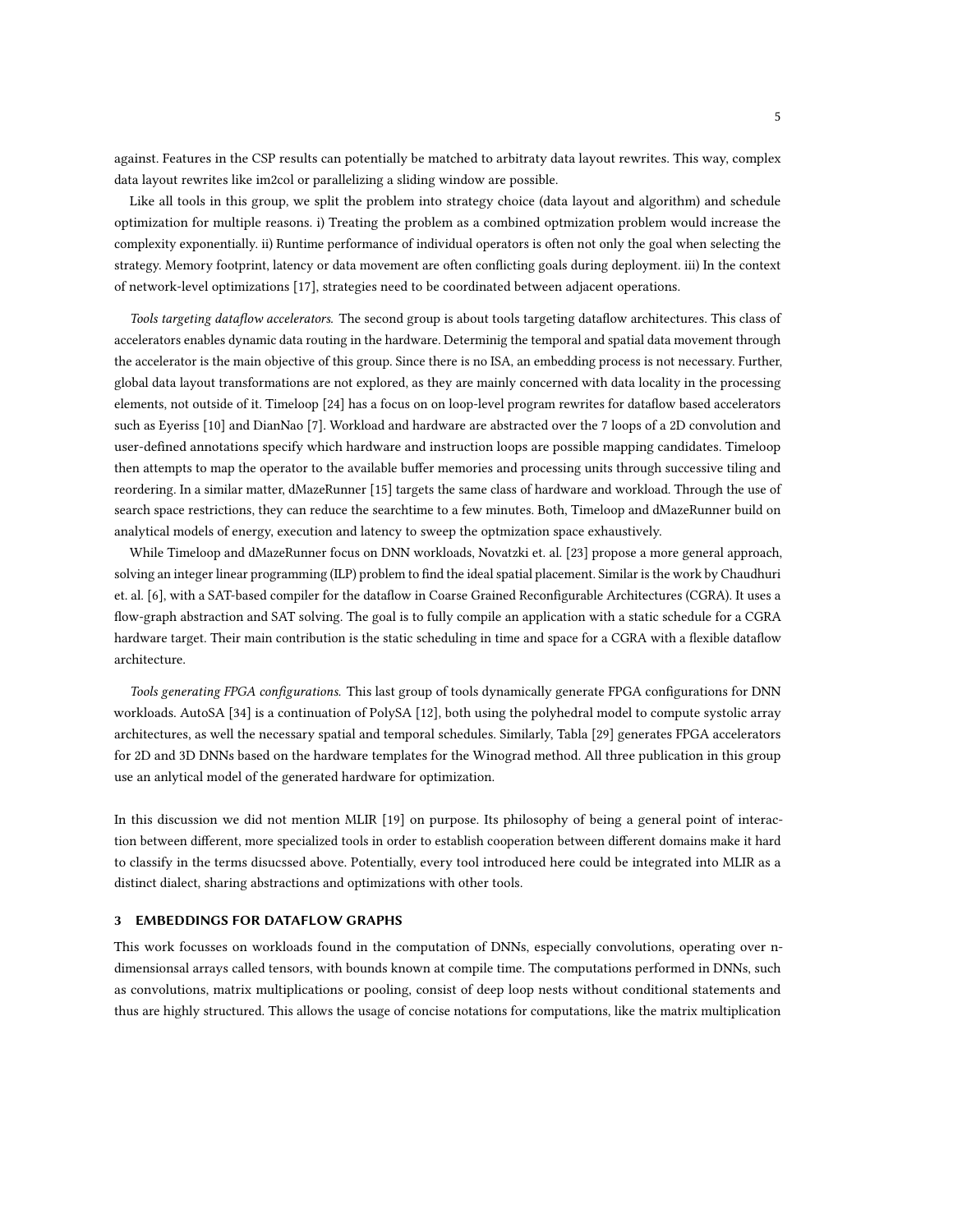against. Features in the CSP results can potentially be matched to arbitraty data layout rewrites. This way, complex data layout rewrites like im2col or parallelizing a sliding window are possible.

Like all tools in this group, we split the problem into strategy choice (data layout and algorithm) and schedule optimization for multiple reasons. i) Treating the problem as a combined optmization problem would increase the complexity exponentially. ii) Runtime performance of individual operators is often not only the goal when selecting the strategy. Memory footprint, latency or data movement are often conflicting goals during deployment. iii) In the context of network-level optimizations [\[17\]](#page-23-11), strategies need to be coordinated between adjacent operations.

Tools targeting dataflow accelerators. The second group is about tools targeting dataflow architectures. This class of accelerators enables dynamic data routing in the hardware. Determinig the temporal and spatial data movement through the accelerator is the main objective of this group. Since there is no ISA, an embedding process is not necessary. Further, global data layout transformations are not explored, as they are mainly concerned with data locality in the processing elements, not outside of it. Timeloop [\[24\]](#page-23-12) has a focus on on loop-level program rewrites for dataflow based accelerators such as Eyeriss [\[10\]](#page-22-7) and DianNao [\[7\]](#page-22-8). Workload and hardware are abstracted over the 7 loops of a 2D convolution and user-defined annotations specify which hardware and instruction loops are possible mapping candidates. Timeloop then attempts to map the operator to the available buffer memories and processing units through successive tiling and reordering. In a similar matter, dMazeRunner [\[15\]](#page-23-13) targets the same class of hardware and workload. Through the use of search space restrictions, they can reduce the searchtime to a few minutes. Both, Timeloop and dMazeRunner build on analytical models of energy, execution and latency to sweep the optmization space exhaustively.

While Timeloop and dMazeRunner focus on DNN workloads, Novatzki et. al. [\[23\]](#page-23-14) propose a more general approach, solving an integer linear programming (ILP) problem to find the ideal spatial placement. Similar is the work by Chaudhuri et. al. [\[6\]](#page-22-9), with a SAT-based compiler for the dataflow in Coarse Grained Reconfigurable Architectures (CGRA). It uses a flow-graph abstraction and SAT solving. The goal is to fully compile an application with a static schedule for a CGRA hardware target. Their main contribution is the static scheduling in time and space for a CGRA with a flexible dataflow architecture.

Tools generating FPGA configurations. This last group of tools dynamically generate FPGA configurations for DNN workloads. AutoSA [\[34\]](#page-24-2) is a continuation of PolySA [\[12\]](#page-23-15), both using the polyhedral model to compute systolic array architectures, as well the necessary spatial and temporal schedules. Similarly, Tabla [\[29\]](#page-23-16) generates FPGA accelerators for 2D and 3D DNNs based on the hardware templates for the Winograd method. All three publication in this group use an anlytical model of the generated hardware for optimization.

In this discussion we did not mention MLIR [\[19\]](#page-23-17) on purpose. Its philosophy of being a general point of interaction between different, more specialized tools in order to establish cooperation between different domains make it hard to classify in the terms disucssed above. Potentially, every tool introduced here could be integrated into MLIR as a distinct dialect, sharing abstractions and optimizations with other tools.

#### <span id="page-4-0"></span>3 EMBEDDINGS FOR DATAFLOW GRAPHS

This work focusses on workloads found in the computation of DNNs, especially convolutions, operating over ndimensionsal arrays called tensors, with bounds known at compile time. The computations performed in DNNs, such as convolutions, matrix multiplications or pooling, consist of deep loop nests without conditional statements and thus are highly structured. This allows the usage of concise notations for computations, like the matrix multiplication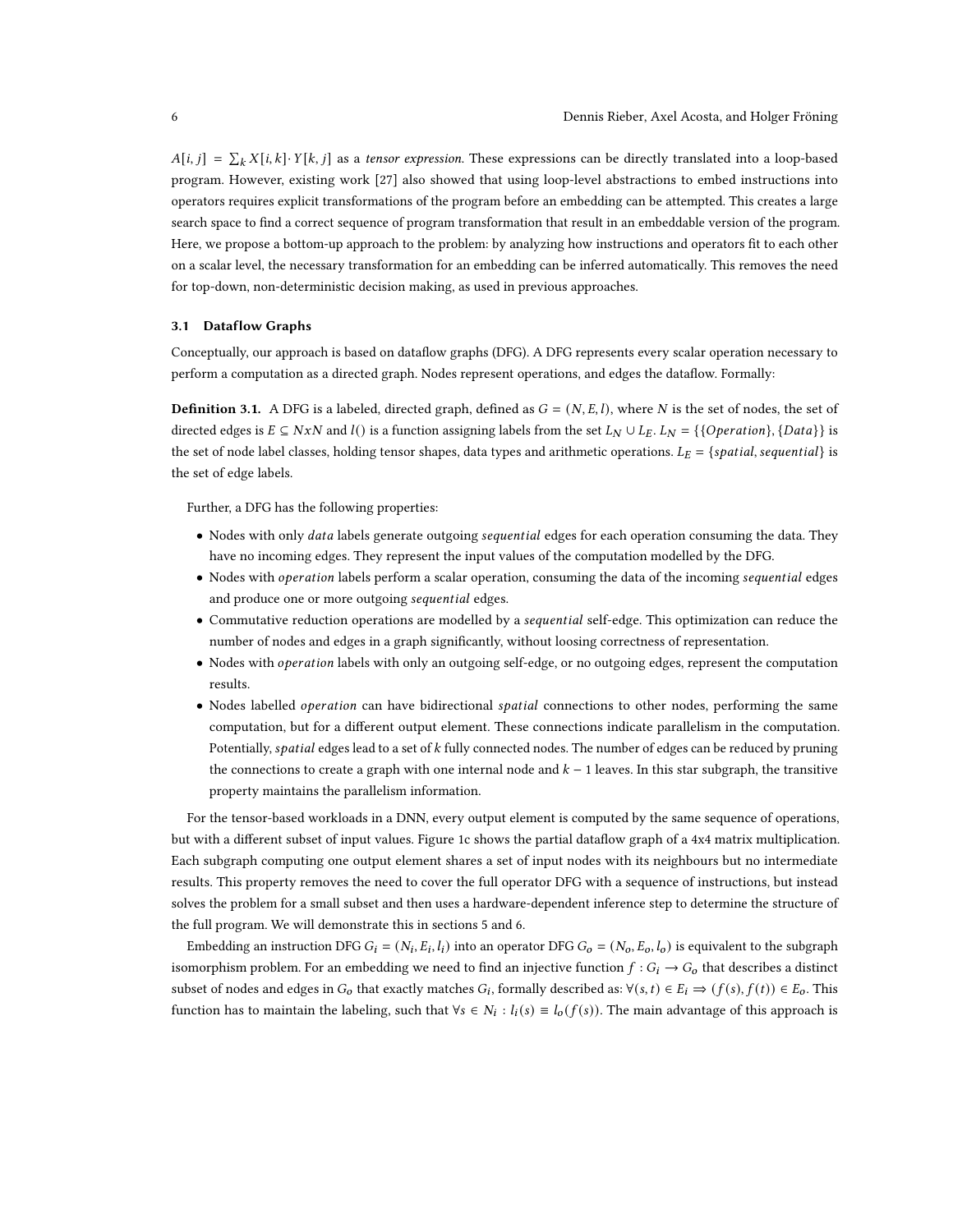$A[i, j] = \sum_k X[i, k] \cdot Y[k, j]$  as a tensor expression. These expressions can be directly translated into a loop-based program. However, existing work [\[27\]](#page-23-4) also showed that using loop-level abstractions to embed instructions into operators requires explicit transformations of the program before an embedding can be attempted. This creates a large search space to find a correct sequence of program transformation that result in an embeddable version of the program. Here, we propose a bottom-up approach to the problem: by analyzing how instructions and operators fit to each other on a scalar level, the necessary transformation for an embedding can be inferred automatically. This removes the need for top-down, non-deterministic decision making, as used in previous approaches.

# <span id="page-5-0"></span>3.1 Dataflow Graphs

Conceptually, our approach is based on dataflow graphs (DFG). A DFG represents every scalar operation necessary to perform a computation as a directed graph. Nodes represent operations, and edges the dataflow. Formally:

**Definition 3.1.** A DFG is a labeled, directed graph, defined as  $G = (N, E, l)$ , where N is the set of nodes, the set of directed edges is  $E \subseteq NxN$  and  $l()$  is a function assigning labels from the set  $L_N \cup L_E$ .  $L_N = \{\{Operation\}, \{Data\}\}\$ the set of node label classes, holding tensor shapes, data types and arithmetic operations.  $L_E = \{spatial, sequential\}$  is the set of edge labels.

Further, a DFG has the following properties:

- Nodes with only *data* labels generate outgoing sequential edges for each operation consuming the data. They have no incoming edges. They represent the input values of the computation modelled by the DFG.
- Nodes with operation labels perform a scalar operation, consuming the data of the incoming sequential edges and produce one or more outgoing sequential edges.
- Commutative reduction operations are modelled by a *sequential* self-edge. This optimization can reduce the number of nodes and edges in a graph significantly, without loosing correctness of representation.
- Nodes with *operation* labels with only an outgoing self-edge, or no outgoing edges, represent the computation results.
- Nodes labelled *operation* can have bidirectional *spatial* connections to other nodes, performing the same computation, but for a different output element. These connections indicate parallelism in the computation. Potentially, *spatial* edges lead to a set of  $k$  fully connected nodes. The number of edges can be reduced by pruning the connections to create a graph with one internal node and  $k - 1$  leaves. In this star subgraph, the transitive property maintains the parallelism information.

For the tensor-based workloads in a DNN, every output element is computed by the same sequence of operations, but with a different subset of input values. Figure [1c](#page-6-0) shows the partial dataflow graph of a 4x4 matrix multiplication. Each subgraph computing one output element shares a set of input nodes with its neighbours but no intermediate results. This property removes the need to cover the full operator DFG with a sequence of instructions, but instead solves the problem for a small subset and then uses a hardware-dependent inference step to determine the structure of the full program. We will demonstrate this in sections [5](#page-12-0) and [6.](#page-16-0)

Embedding an instruction DFG  $G_i = (N_i, E_i, l_i)$  into an operator DFG  $G_o = (N_o, E_o, l_o)$  is equivalent to the subgraph isomorphism problem. For an embedding we need to find an injective function  $f : G_i \to G_o$  that describes a distinct subset of nodes and edges in  $G_0$  that exactly matches  $G_i$ , formally described as:  $\forall (s, t) \in E_i \Rightarrow (f(s), f(t)) \in E_0$ . This function has to maintain the labeling, such that  $\forall s \in N_i : l_i(s) \equiv l_o(f(s))$ . The main advantage of this approach is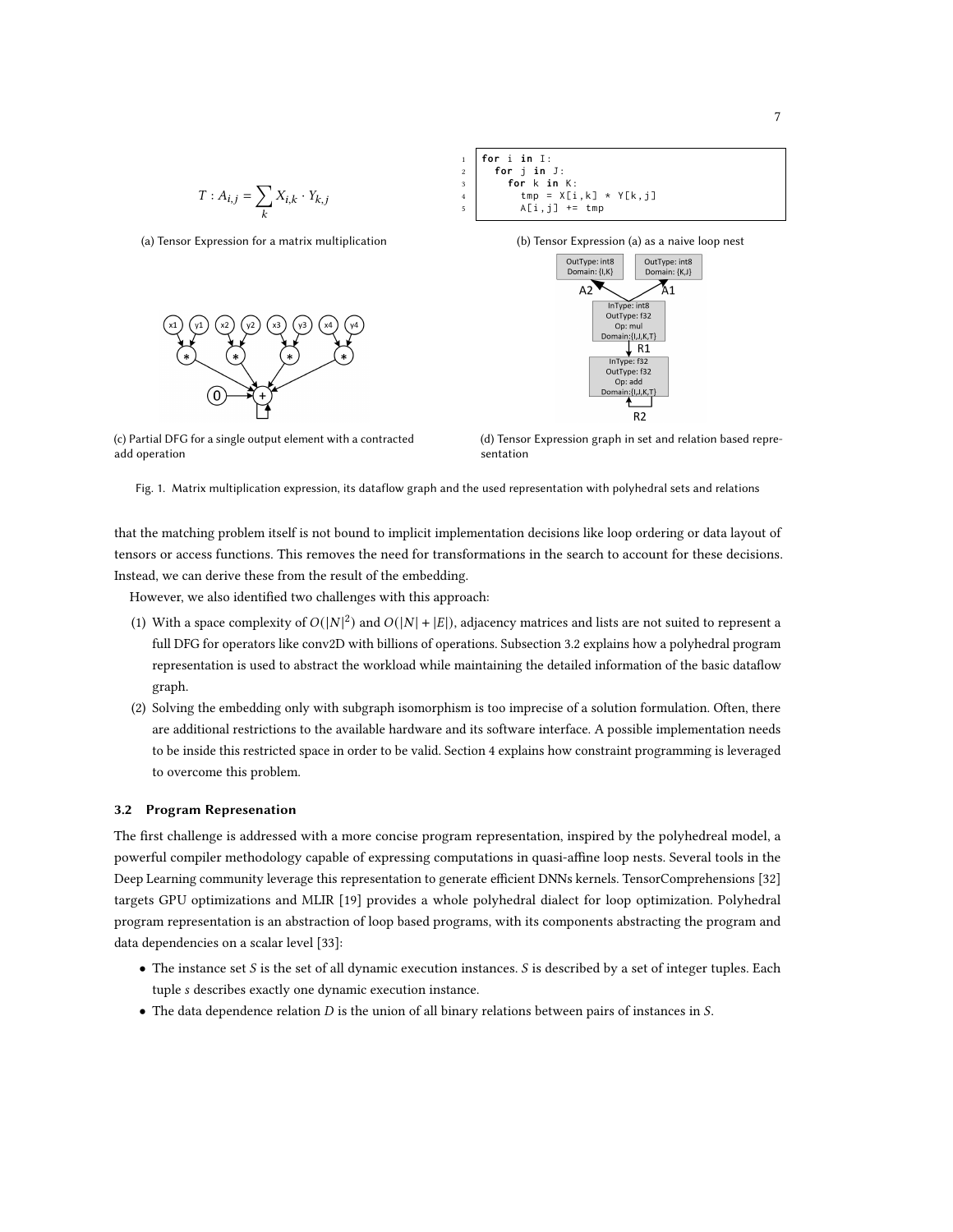<span id="page-6-0"></span>
$$
T: A_{i,j} = \sum_k X_{i,k} \cdot Y_{k,j}
$$

(a) Tensor Expression for a matrix multiplication



 **for** i in I: **for** j **in** J : **for** k **in** K :  $\vert$  tmp =  $X[i, k] \times Y[k, j]$  $A[i, j]$  += tmp

(b) Tensor Expression (a) as a naive loop nest



(c) Partial DFG for a single output element with a contracted add operation

(d) Tensor Expression graph in set and relation based representation

Fig. 1. Matrix multiplication expression, its dataflow graph and the used representation with polyhedral sets and relations

that the matching problem itself is not bound to implicit implementation decisions like loop ordering or data layout of tensors or access functions. This removes the need for transformations in the search to account for these decisions. Instead, we can derive these from the result of the embedding.

However, we also identified two challenges with this approach:

- (1) With a space complexity of  $O(|N|^2)$  and  $O(|N| + |E|)$ , adjacency matrices and lists are not suited to represent a full DFG for operators like conv2D with billions of operations. Subsection [3.2](#page-6-1) explains how a polyhedral program representation is used to abstract the workload while maintaining the detailed information of the basic dataflow graph.
- (2) Solving the embedding only with subgraph isomorphism is too imprecise of a solution formulation. Often, there are additional restrictions to the available hardware and its software interface. A possible implementation needs to be inside this restricted space in order to be valid. Section [4](#page-8-0) explains how constraint programming is leveraged to overcome this problem.

### <span id="page-6-1"></span>3.2 Program Represenation

The first challenge is addressed with a more concise program representation, inspired by the polyhedreal model, a powerful compiler methodology capable of expressing computations in quasi-affine loop nests. Several tools in the Deep Learning community leverage this representation to generate efficient DNNs kernels. TensorComprehensions [\[32\]](#page-23-18) targets GPU optimizations and MLIR [\[19\]](#page-23-17) provides a whole polyhedral dialect for loop optimization. Polyhedral program representation is an abstraction of loop based programs, with its components abstracting the program and data dependencies on a scalar level [\[33\]](#page-24-3):

- The instance set  $S$  is the set of all dynamic execution instances.  $S$  is described by a set of integer tuples. Each tuple s describes exactly one dynamic execution instance.
- The data dependence relation  $D$  is the union of all binary relations between pairs of instances in  $S$ .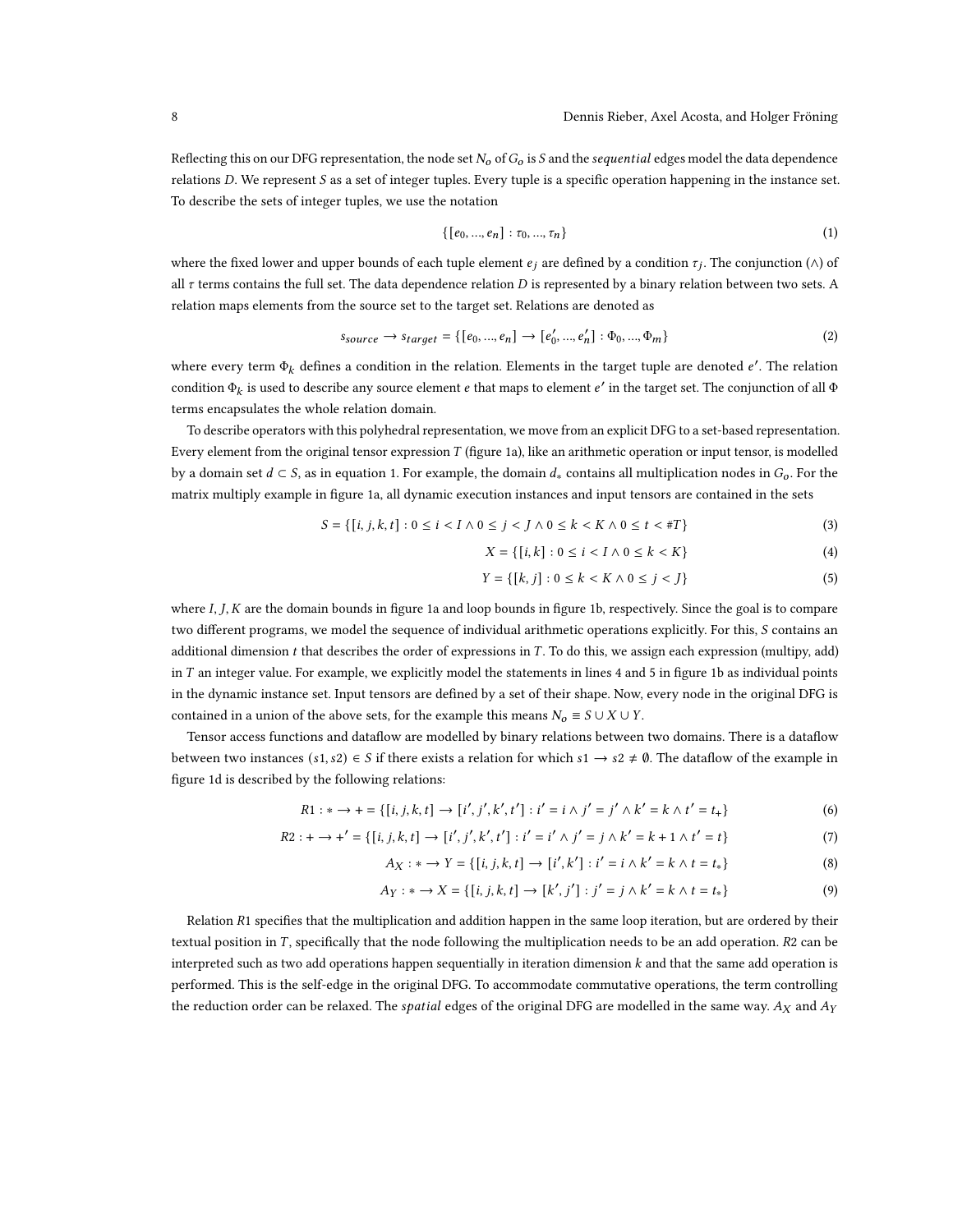Reflecting this on our DFG representation, the node set  $N_0$  of  $G_0$  is S and the sequential edges model the data dependence relations  $D$ . We represent  $S$  as a set of integer tuples. Every tuple is a specific operation happening in the instance set. To describe the sets of integer tuples, we use the notation

<span id="page-7-0"></span>
$$
\{[e_0, ..., e_n] : \tau_0, ..., \tau_n\}
$$
 (1)

where the fixed lower and upper bounds of each tuple element  $e_j$  are defined by a condition  $\tau_j$ . The conjunction ( $\wedge$ ) of all  $\tau$  terms contains the full set. The data dependence relation D is represented by a binary relation between two sets. A relation maps elements from the source set to the target set. Relations are denoted as

$$
S_{\text{source}} \to \text{Starget} = \{ [e_0, ..., e_n] \to [e'_0, ..., e'_n] : \Phi_0, ..., \Phi_m \}
$$
 (2)

where every term  $\Phi_k$  defines a condition in the relation. Elements in the target tuple are denoted  $e'$ . The relation condition  $\Phi_k$  is used to describe any source element e that maps to element e' in the target set. The conjunction of all  $\Phi$ terms encapsulates the whole relation domain.

To describe operators with this polyhedral representation, we move from an explicit DFG to a set-based representation. Every element from the original tensor expression  $T$  (figure [1a\)](#page-6-0), like an arithmetic operation or input tensor, is modelled by a domain set  $d \subset S$ , as in equation [1.](#page-7-0) For example, the domain  $d_*$  contains all multiplication nodes in  $G_0$ . For the matrix multiply example in figure [1a,](#page-6-0) all dynamic execution instances and input tensors are contained in the sets

$$
S = \{ [i, j, k, t] : 0 \le i < I \land 0 \le j < J \land 0 \le k < K \land 0 \le t < \#T \} \tag{3}
$$

$$
X = \{ [i, k] : 0 \le i < I \land 0 \le k < K \} \tag{4}
$$

$$
Y = \{ [k, j] : 0 \le k < K \land 0 \le j < J \} \tag{5}
$$

where  $I, J, K$  are the domain bounds in figure [1a](#page-6-0) and loop bounds in figure [1b,](#page-6-0) respectively. Since the goal is to compare two different programs, we model the sequence of individual arithmetic operations explicitly. For this, S contains an additional dimension  $t$  that describes the order of expressions in  $T$ . To do this, we assign each expression (multipy, add) in  $T$  an integer value. For example, we explicitly model the statements in lines 4 and 5 in figure [1b](#page-6-0) as individual points in the dynamic instance set. Input tensors are defined by a set of their shape. Now, every node in the original DFG is contained in a union of the above sets, for the example this means  $N_0 \equiv S \cup X \cup Y$ .

Tensor access functions and dataflow are modelled by binary relations between two domains. There is a dataflow between two instances  $(s1, s2) \in S$  if there exists a relation for which  $s1 \to s2 \neq \emptyset$ . The dataflow of the example in figure [1d](#page-6-0) is described by the following relations:

$$
R1: * \to + = \{ [i, j, k, t] \to [i', j', k', t'] : i' = i \land j' = j' \land k' = k \land t' = t_{+} \}
$$
(6)

$$
R2: + \rightarrow +' = \{ [i, j, k, t] \rightarrow [i', j', k', t'] : i' = i' \land j' = j \land k' = k + 1 \land t' = t \}
$$
(7)

$$
A_X: * \to Y = \{ [i, j, k, t] \to [i', k'] : i' = i \wedge k' = k \wedge t = t_* \}
$$
(8)

$$
A_Y: * \to X = \{ [i, j, k, t] \to [k', j'] : j' = j \wedge k' = k \wedge t = t_* \}
$$
(9)

Relation  $R1$  specifies that the multiplication and addition happen in the same loop iteration, but are ordered by their textual position in T, specifically that the node following the multiplication needs to be an add operation. R2 can be interpreted such as two add operations happen sequentially in iteration dimension  $k$  and that the same add operation is performed. This is the self-edge in the original DFG. To accommodate commutative operations, the term controlling the reduction order can be relaxed. The *spatial* edges of the original DFG are modelled in the same way.  $A_X$  and  $A_Y$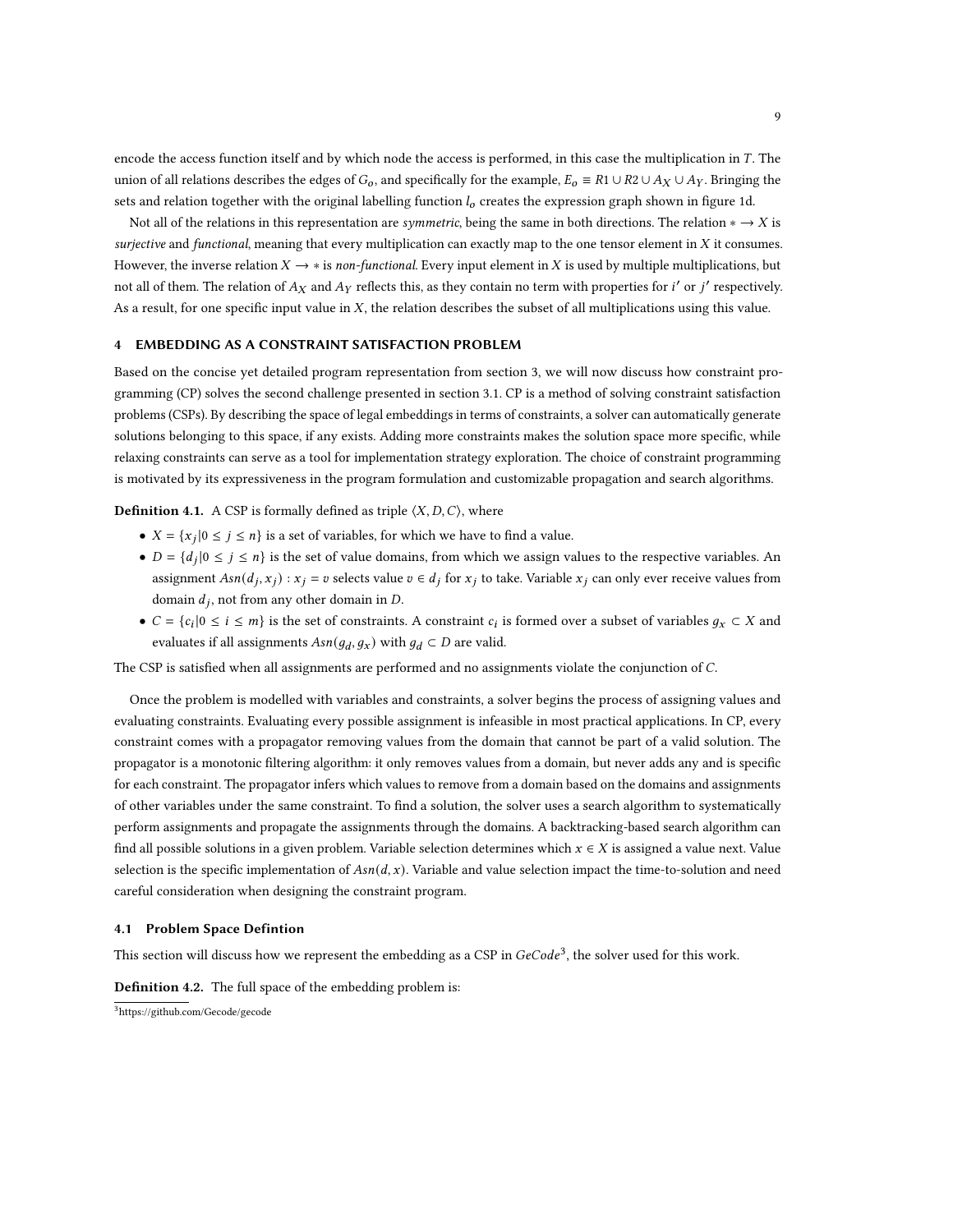encode the access function itself and by which node the access is performed, in this case the multiplication in  $T$ . The union of all relations describes the edges of  $G_0$ , and specifically for the example,  $E_0 = R1 \cup R2 \cup A_X \cup A_Y$ . Bringing the sets and relation together with the original labelling function  $l_0$  creates the expression graph shown in figure [1d.](#page-6-0)

Not all of the relations in this representation are *symmetric*, being the same in both directions. The relation  $* \rightarrow X$  is surjective and functional, meaning that every multiplication can exactly map to the one tensor element in  $X$  it consumes. However, the inverse relation  $X \to *$  is non-functional. Every input element in X is used by multiplications, but not all of them. The relation of  $A_X$  and  $A_Y$  reflects this, as they contain no term with properties for  $i'$  or  $j'$  respectively. As a result, for one specific input value in  $X$ , the relation describes the subset of all multiplications using this value.

# <span id="page-8-0"></span>4 EMBEDDING AS A CONSTRAINT SATISFACTION PROBLEM

Based on the concise yet detailed program representation from section [3,](#page-4-0) we will now discuss how constraint programming (CP) solves the second challenge presented in section [3.1.](#page-5-0) CP is a method of solving constraint satisfaction problems (CSPs). By describing the space of legal embeddings in terms of constraints, a solver can automatically generate solutions belonging to this space, if any exists. Adding more constraints makes the solution space more specific, while relaxing constraints can serve as a tool for implementation strategy exploration. The choice of constraint programming is motivated by its expressiveness in the program formulation and customizable propagation and search algorithms.

### **Definition 4.1.** A CSP is formally defined as triple  $\langle X, D, C \rangle$ , where

- $X = \{x_j | 0 \le j \le n\}$  is a set of variables, for which we have to find a value.
- $D = \{d_i | 0 \leq j \leq n\}$  is the set of value domains, from which we assign values to the respective variables. An assignment  $Asn(d_i, x_i) : x_i = v$  selects value  $v \in d_i$  for  $x_i$  to take. Variable  $x_i$  can only ever receive values from domain  $d_j$ , not from any other domain in  $D$ .
- $C = \{c_i | 0 \le i \le m\}$  is the set of constraints. A constraint  $c_i$  is formed over a subset of variables  $g_x \subset X$  and evaluates if all assignments  $Asn(g_d, g_x)$  with  $g_d \subset D$  are valid.

The CSP is satisfied when all assignments are performed and no assignments violate the conjunction of C.

Once the problem is modelled with variables and constraints, a solver begins the process of assigning values and evaluating constraints. Evaluating every possible assignment is infeasible in most practical applications. In CP, every constraint comes with a propagator removing values from the domain that cannot be part of a valid solution. The propagator is a monotonic filtering algorithm: it only removes values from a domain, but never adds any and is specific for each constraint. The propagator infers which values to remove from a domain based on the domains and assignments of other variables under the same constraint. To find a solution, the solver uses a search algorithm to systematically perform assignments and propagate the assignments through the domains. A backtracking-based search algorithm can find all possible solutions in a given problem. Variable selection determines which  $x \in X$  is assigned a value next. Value selection is the specific implementation of  $Asn(d, x)$ . Variable and value selection impact the time-to-solution and need careful consideration when designing the constraint program.

## 4.1 Problem Space Defintion

This section will discuss how we represent the embedding as a CSP in  $GeCode^3$  $GeCode^3$ , the solver used for this work.

<span id="page-8-2"></span>Definition 4.2. The full space of the embedding problem is:

<span id="page-8-1"></span><sup>3</sup>https://github.com/Gecode/gecode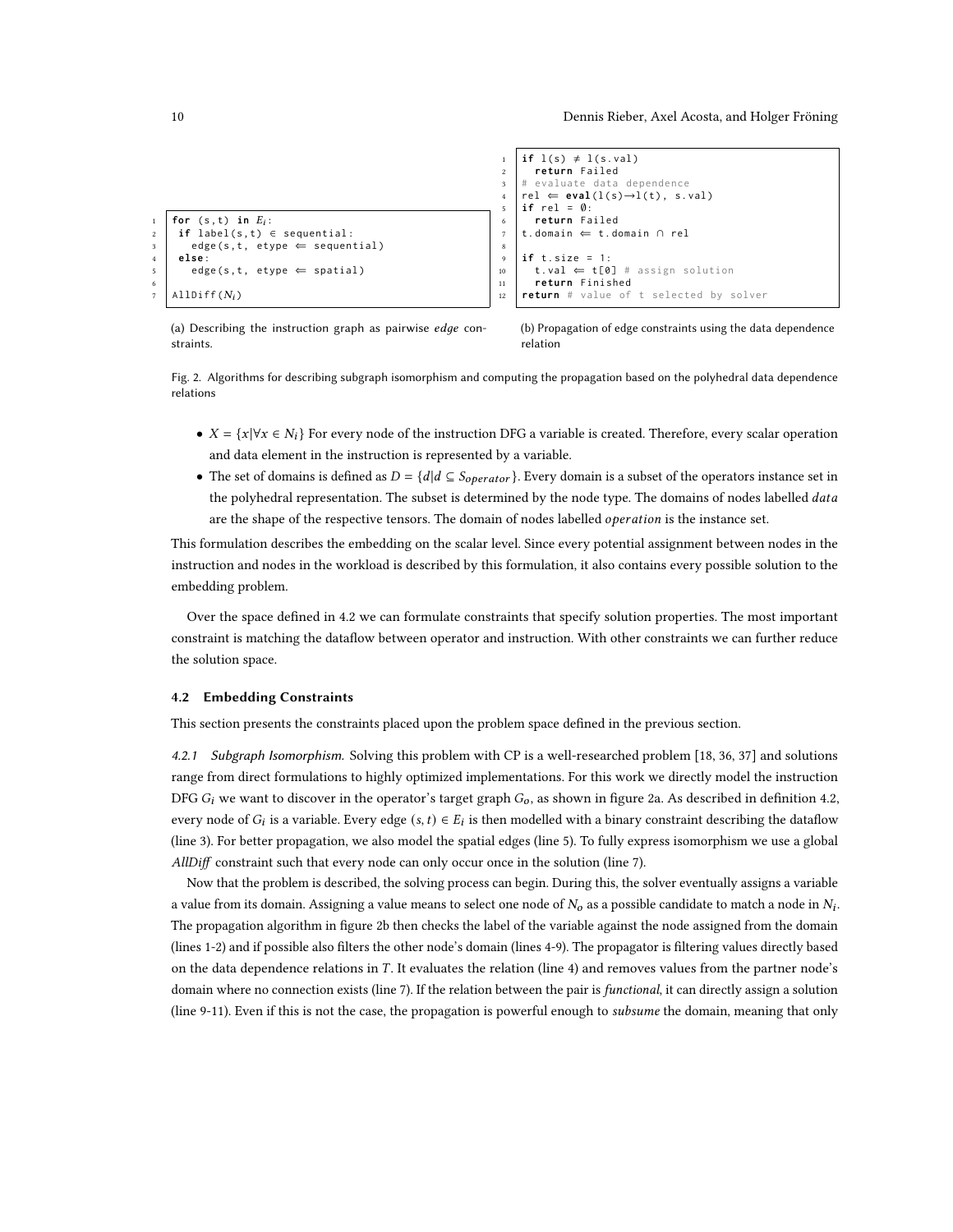```
for (s, t) in E_i:
     if label(s, t) \in sequential:
\begin{array}{c|c} 3 & \text{edge}(s, t, \text{ etype} \Leftarrow \text{sequential}) \end{array}4 else :
5 edge(s, t, etype \Leftarrow spatial)
6
    \text{AlDiff}( N_i )2 return Failed
                                                                           # evaluate data dependence
                                                                           rel \Leftarrow eval(l(s) \rightarrow l(t), s.val)5 if rel = ∅:
                                                                       6 return Failed
                                                                       7 t . domain ⇐ t . domain ∩ rel
                                                                       8
                                                                       9 if t. size = 1:
                                                                      10 t.val \Leftarrow t[0] # assign solution
                                                                      11 return Finished
                                                                      12 return # value of t selected by solver
```
(a) Describing the instruction graph as pairwise  $edge$  constraints.

(b) Propagation of edge constraints using the data dependence relation

Fig. 2. Algorithms for describing subgraph isomorphism and computing the propagation based on the polyhedral data dependence relations

•  $X = \{x | \forall x \in N_i\}$  For every node of the instruction DFG a variable is created. Therefore, every scalar operation and data element in the instruction is represented by a variable.

 $if l(s) \neq l(s.val)$ 

• The set of domains is defined as  $D = \{d | d \subseteq S_{operator} \}$ . Every domain is a subset of the operators instance set in the polyhedral representation. The subset is determined by the node type. The domains of nodes labelled data are the shape of the respective tensors. The domain of nodes labelled *operation* is the instance set.

This formulation describes the embedding on the scalar level. Since every potential assignment between nodes in the instruction and nodes in the workload is described by this formulation, it also contains every possible solution to the embedding problem.

Over the space defined in [4.2](#page-8-2) we can formulate constraints that specify solution properties. The most important constraint is matching the dataflow between operator and instruction. With other constraints we can further reduce the solution space.

#### 4.2 Embedding Constraints

This section presents the constraints placed upon the problem space defined in the previous section.

4.2.1 Subgraph Isomorphism. Solving this problem with CP is a well-researched problem [\[18,](#page-23-19) [36,](#page-24-4) [37\]](#page-24-5) and solutions range from direct formulations to highly optimized implementations. For this work we directly model the instruction DFG  $G_i$  we want to discover in the operator's target graph  $G_0$ , as shown in figure [2a.](#page-9-0) As described in definition [4.2,](#page-8-2) every node of  $G_i$  is a variable. Every edge  $(s, t) \in E_i$  is then modelled with a binary constraint describing the dataflow (line 3). For better propagation, we also model the spatial edges (line 5). To fully express isomorphism we use a global AllDiff constraint such that every node can only occur once in the solution (line 7).

Now that the problem is described, the solving process can begin. During this, the solver eventually assigns a variable a value from its domain. Assigning a value means to select one node of  $N_o$  as a possible candidate to match a node in  $N_i$ . The propagation algorithm in figure [2b](#page-9-0) then checks the label of the variable against the node assigned from the domain (lines 1-2) and if possible also filters the other node's domain (lines 4-9). The propagator is filtering values directly based on the data dependence relations in  $T$ . It evaluates the relation (line 4) and removes values from the partner node's domain where no connection exists (line 7). If the relation between the pair is *functional*, it can directly assign a solution (line 9-11). Even if this is not the case, the propagation is powerful enough to subsume the domain, meaning that only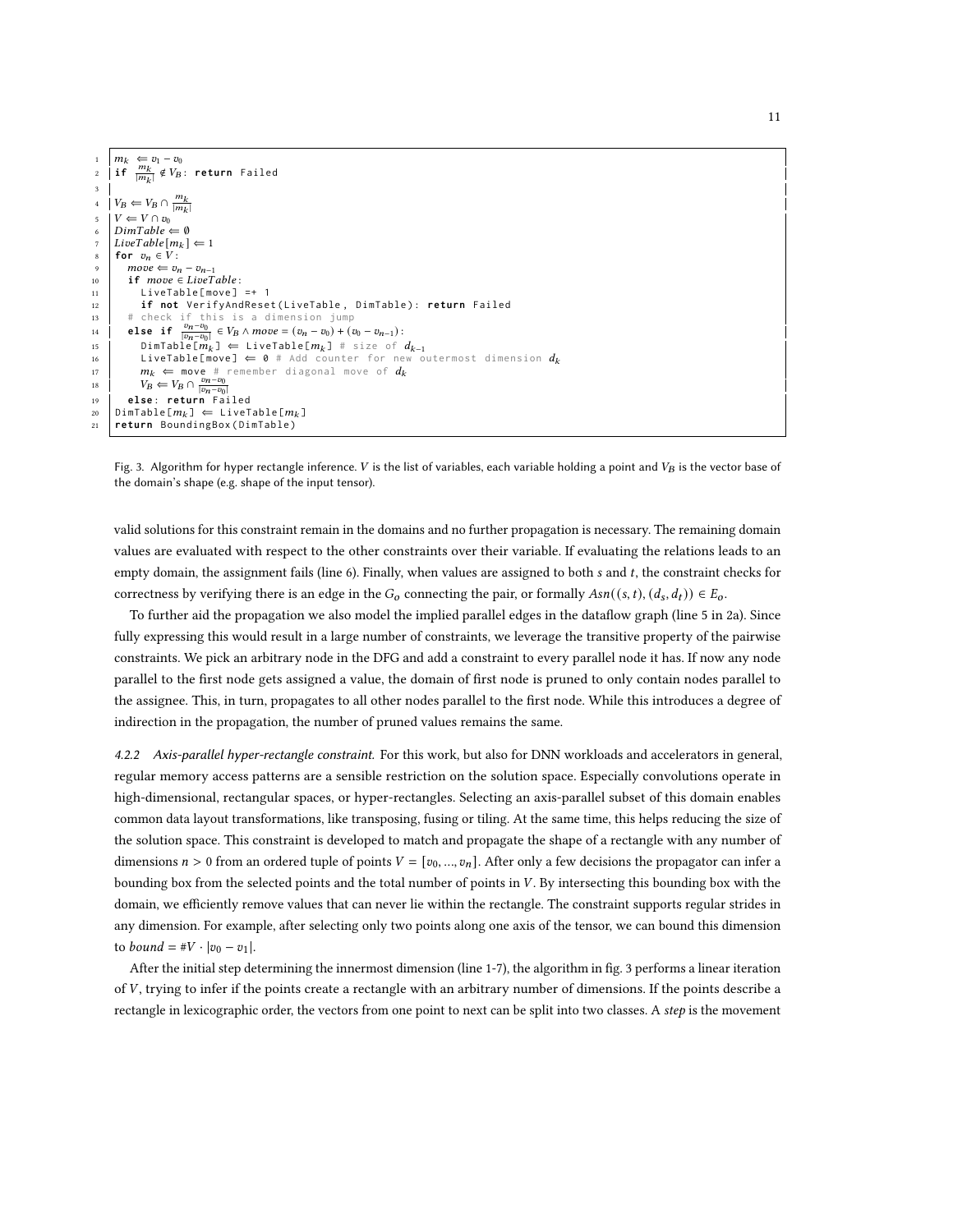<span id="page-10-0"></span>

|    | $1 \mid m_k \Leftarrow v_1 - v_0$                                                     |
|----|---------------------------------------------------------------------------------------|
|    | 2   if $\frac{m_k}{ m_k } \notin V_B$ : return Failed                                 |
|    |                                                                                       |
|    | 4 $V_B \leftarrow V_B \cap \frac{m_k}{ m_k }$                                         |
|    | $V \leftarrow V \cap v_0$                                                             |
|    | $\delta$ DimTable $\Leftarrow \emptyset$                                              |
|    | 7   LiveTable $[m_k] \Leftarrow 1$                                                    |
| 8  | for $v_n \in V$ :                                                                     |
| 9  | $move \Leftarrow v_n - v_{n-1}$                                                       |
| 10 | <b>if</b> move $\in$ LiveTable:                                                       |
| 11 | $LiveTable[move] = + 1$                                                               |
| 12 | if not VerifyAndReset(LiveTable, DimTable): return Failed                             |
| 13 | # check if this is a dimension jump                                                   |
| 14 | else if $\frac{v_n-v_0}{ v_n-v_0 } \in V_B \wedge move = (v_n-v_0) + (v_0-v_{n-1})$ : |
| 15 | $DimTable[m_k] \Leftrightarrow \text{LiveTable}[m_k] \# size of d_{k-1}$              |
| 16 | <b>LiveTable[move]</b> $\Leftarrow$ 0 # Add counter for new outermost dimension $d_k$ |
| 17 | $m_k$ $\Leftarrow$ move # remember diagonal move of $d_k$                             |
| 18 | $V_B \leftarrow V_B \cap \frac{v_n - v_0}{ v_n - v_0 }$                               |
| 19 | else: return Failed                                                                   |
| 20 | $DimTable[m_k] \Leftarrow LiveTable[m_k]$                                             |
| 21 | return BoundingBox(DimTable)                                                          |
|    |                                                                                       |

Fig. 3. Algorithm for hyper rectangle inference. V is the list of variables, each variable holding a point and  $V_B$  is the vector base of the domain's shape (e.g. shape of the input tensor).

valid solutions for this constraint remain in the domains and no further propagation is necessary. The remaining domain values are evaluated with respect to the other constraints over their variable. If evaluating the relations leads to an empty domain, the assignment fails (line 6). Finally, when values are assigned to both  $s$  and  $t$ , the constraint checks for correctness by verifying there is an edge in the  $G_0$  connecting the pair, or formally  $Asn((s, t), (d_s, d_t)) \in E_0$ .

To further aid the propagation we also model the implied parallel edges in the dataflow graph (line 5 in [2a\)](#page-9-0). Since fully expressing this would result in a large number of constraints, we leverage the transitive property of the pairwise constraints. We pick an arbitrary node in the DFG and add a constraint to every parallel node it has. If now any node parallel to the first node gets assigned a value, the domain of first node is pruned to only contain nodes parallel to the assignee. This, in turn, propagates to all other nodes parallel to the first node. While this introduces a degree of indirection in the propagation, the number of pruned values remains the same.

4.2.2 Axis-parallel hyper-rectangle constraint. For this work, but also for DNN workloads and accelerators in general, regular memory access patterns are a sensible restriction on the solution space. Especially convolutions operate in high-dimensional, rectangular spaces, or hyper-rectangles. Selecting an axis-parallel subset of this domain enables common data layout transformations, like transposing, fusing or tiling. At the same time, this helps reducing the size of the solution space. This constraint is developed to match and propagate the shape of a rectangle with any number of dimensions  $n > 0$  from an ordered tuple of points  $V = [v_0, ..., v_n]$ . After only a few decisions the propagator can infer a bounding box from the selected points and the total number of points in V. By intersecting this bounding box with the domain, we efficiently remove values that can never lie within the rectangle. The constraint supports regular strides in any dimension. For example, after selecting only two points along one axis of the tensor, we can bound this dimension to *bound* =  $\#V \cdot |v_0 - v_1|$ .

After the initial step determining the innermost dimension (line 1-7), the algorithm in fig. [3](#page-10-0) performs a linear iteration of  $V$ , trying to infer if the points create a rectangle with an arbitrary number of dimensions. If the points describe a rectangle in lexicographic order, the vectors from one point to next can be split into two classes. A step is the movement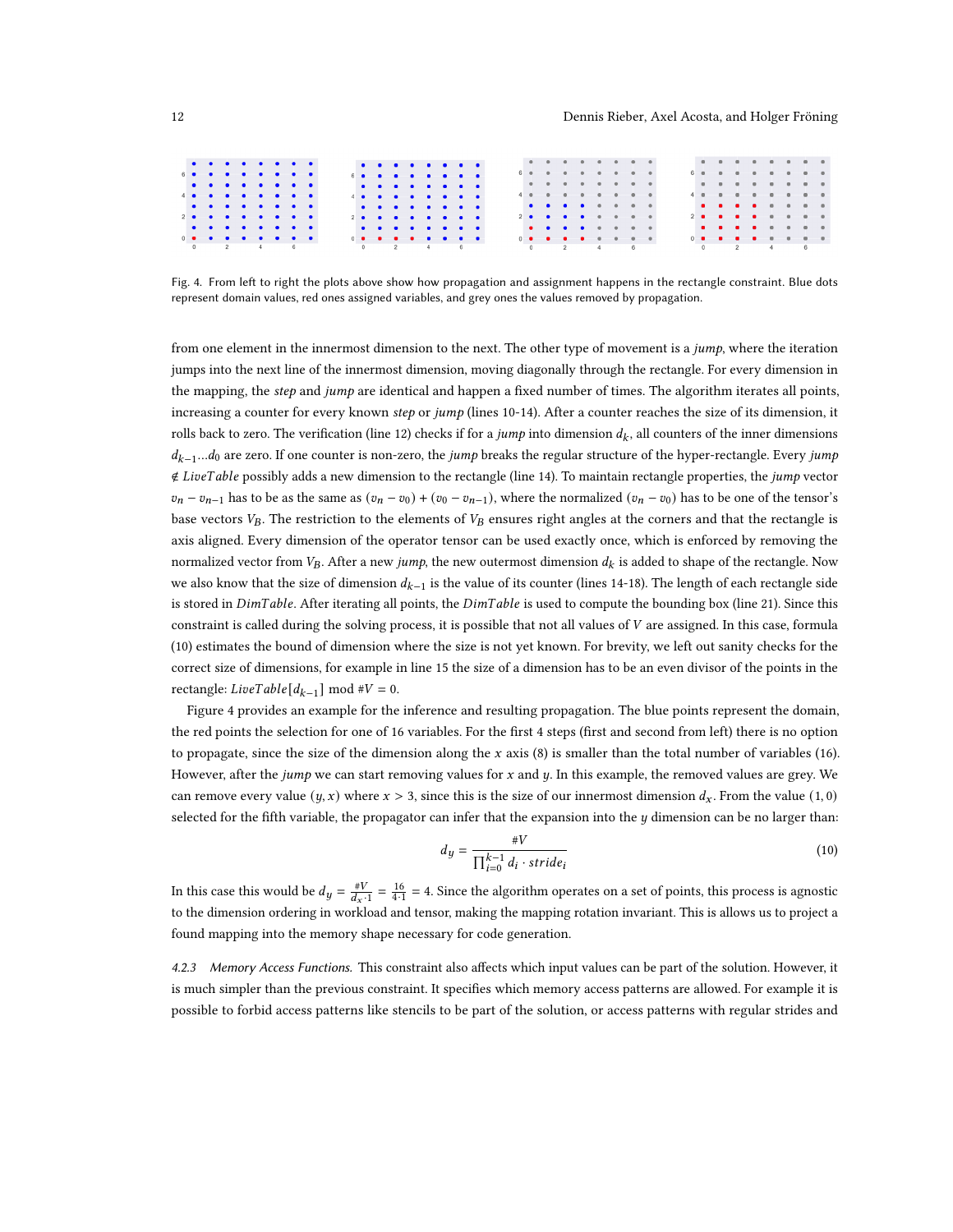<span id="page-11-0"></span>

|            | .          |  |  |  | .          |  |  |  |
|------------|------------|--|--|--|------------|--|--|--|
| 6 <b>.</b> |            |  |  |  | 6 <b>.</b> |  |  |  |
|            | .          |  |  |  | .          |  |  |  |
|            | 4 <b>.</b> |  |  |  | 4 <b>.</b> |  |  |  |
|            | .          |  |  |  | .          |  |  |  |
| 2 <b>.</b> |            |  |  |  | 2 <b>.</b> |  |  |  |
|            | .          |  |  |  | .          |  |  |  |
| .          |            |  |  |  | .          |  |  |  |
|            |            |  |  |  |            |  |  |  |

Fig. 4. From left to right the plots above show how propagation and assignment happens in the rectangle constraint. Blue dots represent domain values, red ones assigned variables, and grey ones the values removed by propagation.

from one element in the innermost dimension to the next. The other type of movement is a jump, where the iteration jumps into the next line of the innermost dimension, moving diagonally through the rectangle. For every dimension in the mapping, the step and jump are identical and happen a fixed number of times. The algorithm iterates all points, increasing a counter for every known step or jump (lines 10-14). After a counter reaches the size of its dimension, it rolls back to zero. The verification (line 12) checks if for a *jump* into dimension  $d_k$ , all counters of the inner dimensions  $d_{k-1}...d_0$  are zero. If one counter is non-zero, the jump breaks the regular structure of the hyper-rectangle. Every jump ∉ LiveTable possibly adds a new dimension to the rectangle (line 14). To maintain rectangle properties, the jump vector  $v_n - v_{n-1}$  has to be as the same as  $(v_n - v_0) + (v_0 - v_{n-1})$ , where the normalized  $(v_n - v_0)$  has to be one of the tensor's base vectors  $V_B$ . The restriction to the elements of  $V_B$  ensures right angles at the corners and that the rectangle is axis aligned. Every dimension of the operator tensor can be used exactly once, which is enforced by removing the normalized vector from  $V_B$ . After a new jump, the new outermost dimension  $d_k$  is added to shape of the rectangle. Now we also know that the size of dimension  $d_{k-1}$  is the value of its counter (lines 14-18). The length of each rectangle side is stored in DimTable. After iterating all points, the DimTable is used to compute the bounding box (line 21). Since this constraint is called during the solving process, it is possible that not all values of  $V$  are assigned. In this case, formula (10) estimates the bound of dimension where the size is not yet known. For brevity, we left out sanity checks for the correct size of dimensions, for example in line 15 the size of a dimension has to be an even divisor of the points in the rectangle:  $LiveTable[d_{k-1}] \text{ mod } #V = 0.$ 

Figure [4](#page-11-0) provides an example for the inference and resulting propagation. The blue points represent the domain, the red points the selection for one of 16 variables. For the first 4 steps (first and second from left) there is no option to propagate, since the size of the dimension along the  $x$  axis (8) is smaller than the total number of variables (16). However, after the *jump* we can start removing values for  $x$  and  $y$ . In this example, the removed values are grey. We can remove every value  $(y, x)$  where  $x > 3$ , since this is the size of our innermost dimension  $d_x$ . From the value  $(1, 0)$ selected for the fifth variable, the propagator can infer that the expansion into the  $y$  dimension can be no larger than:

$$
d_y = \frac{\#V}{\prod_{i=0}^{k-1} d_i \cdot stride_i}
$$
\n(10)

In this case this would be  $d_y = \frac{\#V}{d_x \cdot 1} = \frac{16}{4 \cdot 1} = 4$ . Since the algorithm operates on a set of points, this process is agnostic to the dimension ordering in workload and tensor, making the mapping rotation invariant. This is allows us to project a found mapping into the memory shape necessary for code generation.

4.2.3 Memory Access Functions. This constraint also affects which input values can be part of the solution. However, it is much simpler than the previous constraint. It specifies which memory access patterns are allowed. For example it is possible to forbid access patterns like stencils to be part of the solution, or access patterns with regular strides and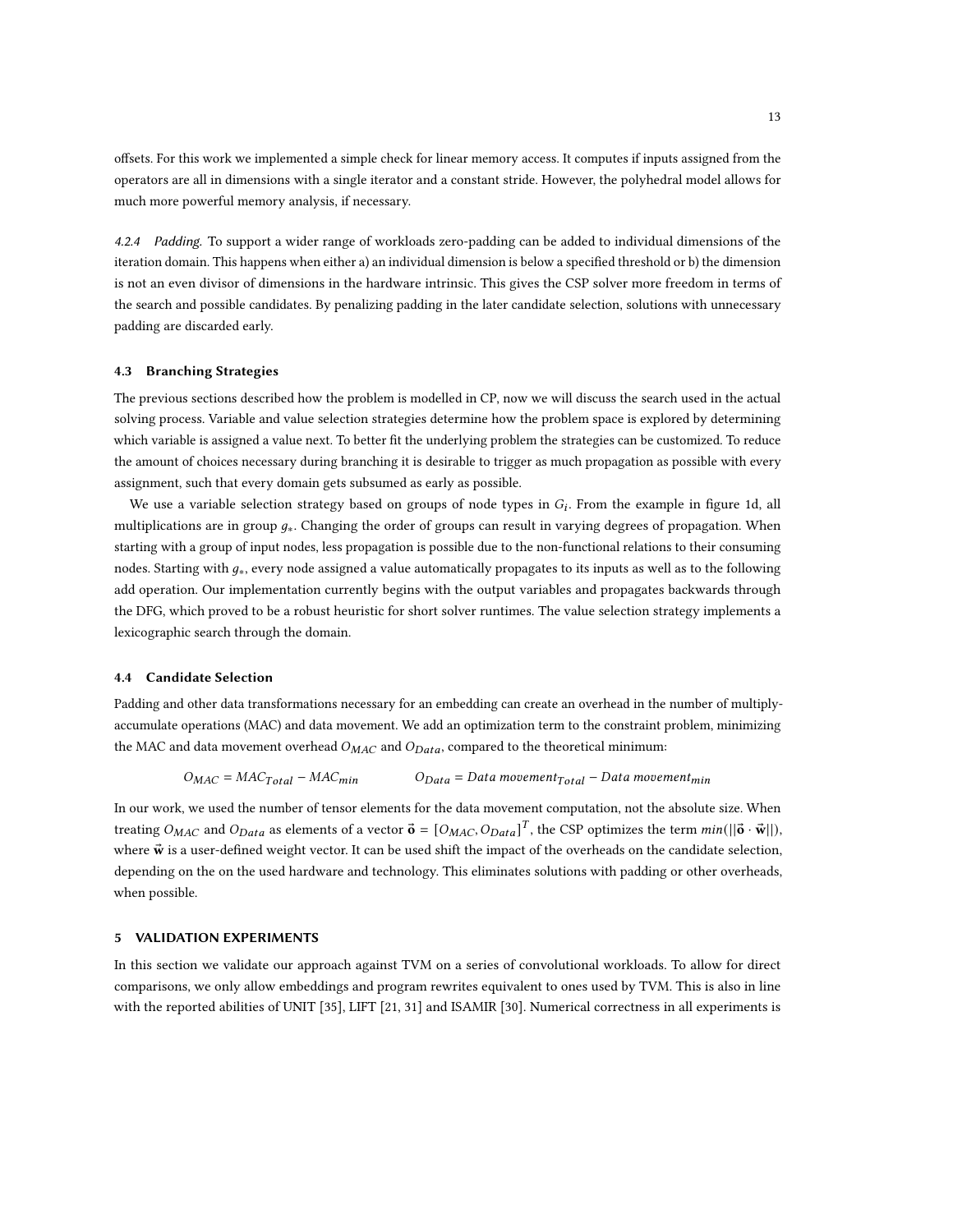offsets. For this work we implemented a simple check for linear memory access. It computes if inputs assigned from the operators are all in dimensions with a single iterator and a constant stride. However, the polyhedral model allows for much more powerful memory analysis, if necessary.

4.2.4 Padding. To support a wider range of workloads zero-padding can be added to individual dimensions of the iteration domain. This happens when either a) an individual dimension is below a specified threshold or b) the dimension is not an even divisor of dimensions in the hardware intrinsic. This gives the CSP solver more freedom in terms of the search and possible candidates. By penalizing padding in the later candidate selection, solutions with unnecessary padding are discarded early.

#### 4.3 Branching Strategies

The previous sections described how the problem is modelled in CP, now we will discuss the search used in the actual solving process. Variable and value selection strategies determine how the problem space is explored by determining which variable is assigned a value next. To better fit the underlying problem the strategies can be customized. To reduce the amount of choices necessary during branching it is desirable to trigger as much propagation as possible with every assignment, such that every domain gets subsumed as early as possible.

We use a variable selection strategy based on groups of node types in  $G_i$ . From the example in figure [1d,](#page-6-0) all multiplications are in group  $q_*$ . Changing the order of groups can result in varying degrees of propagation. When starting with a group of input nodes, less propagation is possible due to the non-functional relations to their consuming nodes. Starting with  $q_*$ , every node assigned a value automatically propagates to its inputs as well as to the following add operation. Our implementation currently begins with the output variables and propagates backwards through the DFG, which proved to be a robust heuristic for short solver runtimes. The value selection strategy implements a lexicographic search through the domain.

## 4.4 Candidate Selection

Padding and other data transformations necessary for an embedding can create an overhead in the number of multiplyaccumulate operations (MAC) and data movement. We add an optimization term to the constraint problem, minimizing the MAC and data movement overhead  $O_{MAC}$  and  $O_{Data}$ , compared to the theoretical minimum:

$$
O_{MAC} = MAC_{Total} - MAC_{min} \qquad O_{Data} = Data\ movement_{Total} - Data\ movement_{min}
$$

In our work, we used the number of tensor elements for the data movement computation, not the absolute size. When treating  $O_{MAC}$  and  $O_{Data}$  as elements of a vector  $\vec{\sigma} = [O_{MAC}, O_{Data}]^T$ , the CSP optimizes the term  $min(||\vec{\sigma} \cdot \vec{\mathbf{w}}||)$ , where  $\vec{w}$  is a user-defined weight vector. It can be used shift the impact of the overheads on the candidate selection, depending on the on the used hardware and technology. This eliminates solutions with padding or other overheads, when possible.

# <span id="page-12-0"></span>5 VALIDATION EXPERIMENTS

In this section we validate our approach against TVM on a series of convolutional workloads. To allow for direct comparisons, we only allow embeddings and program rewrites equivalent to ones used by TVM. This is also in line with the reported abilities of UNIT [\[35\]](#page-24-1), LIFT [\[21,](#page-23-2) [31\]](#page-23-3) and ISAMIR [\[30\]](#page-23-1). Numerical correctness in all experiments is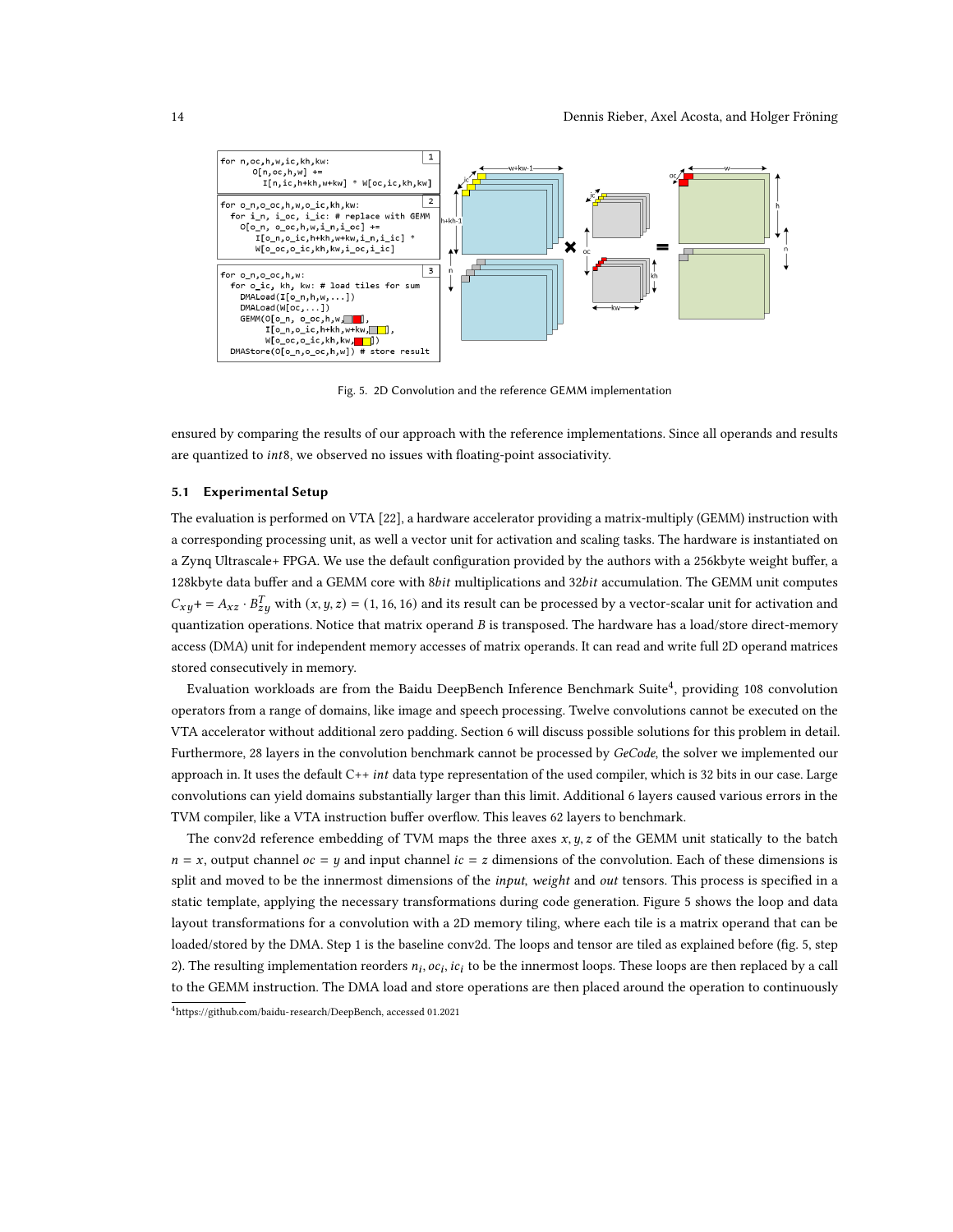<span id="page-13-1"></span>

Fig. 5. 2D Convolution and the reference GEMM implementation

ensured by comparing the results of our approach with the reference implementations. Since all operands and results are quantized to int8, we observed no issues with floating-point associativity.

#### 5.1 Experimental Setup

The evaluation is performed on VTA [\[22\]](#page-23-7), a hardware accelerator providing a matrix-multiply (GEMM) instruction with a corresponding processing unit, as well a vector unit for activation and scaling tasks. The hardware is instantiated on a Zynq Ultrascale+ FPGA. We use the default configuration provided by the authors with a 256kbyte weight buffer, a 128kbyte data buffer and a GEMM core with 8bit multiplications and 32bit accumulation. The GEMM unit computes  $C_{xy}$ + =  $A_{xz} \cdot B_{zy}^T$  with  $(x, y, z)$  = (1, 16, 16) and its result can be processed by a vector-scalar unit for activation and quantization operations. Notice that matrix operand B is transposed. The hardware has a load/store direct-memory access (DMA) unit for independent memory accesses of matrix operands. It can read and write full 2D operand matrices stored consecutively in memory.

Evaluation workloads are from the Baidu DeepBench Inference Benchmark Suite $^4$  $^4$ , providing 108 convolution operators from a range of domains, like image and speech processing. Twelve convolutions cannot be executed on the VTA accelerator without additional zero padding. Section [6](#page-16-0) will discuss possible solutions for this problem in detail. Furthermore, 28 layers in the convolution benchmark cannot be processed by GeCode, the solver we implemented our approach in. It uses the default  $C++int$  data type representation of the used compiler, which is 32 bits in our case. Large convolutions can yield domains substantially larger than this limit. Additional 6 layers caused various errors in the TVM compiler, like a VTA instruction buffer overflow. This leaves 62 layers to benchmark.

The conv2d reference embedding of TVM maps the three axes  $x, y, z$  of the GEMM unit statically to the batch  $n = x$ , output channel  $oc = y$  and input channel  $ic = z$  dimensions of the convolution. Each of these dimensions is split and moved to be the innermost dimensions of the *input, weight* and *out* tensors. This process is specified in a static template, applying the necessary transformations during code generation. Figure [5](#page-13-1) shows the loop and data layout transformations for a convolution with a 2D memory tiling, where each tile is a matrix operand that can be loaded/stored by the DMA. Step 1 is the baseline conv2d. The loops and tensor are tiled as explained before (fig. [5,](#page-13-1) step 2). The resulting implementation reorders  $n_i$ ,  $oc_i$ ,  $ic_i$  to be the innermost loops. These loops are then replaced by a call to the GEMM instruction. The DMA load and store operations are then placed around the operation to continuously

<span id="page-13-0"></span><sup>4</sup>[https://github.com/baidu-research/DeepBench,](https://github.com/baidu-research/DeepBench) accessed 01.2021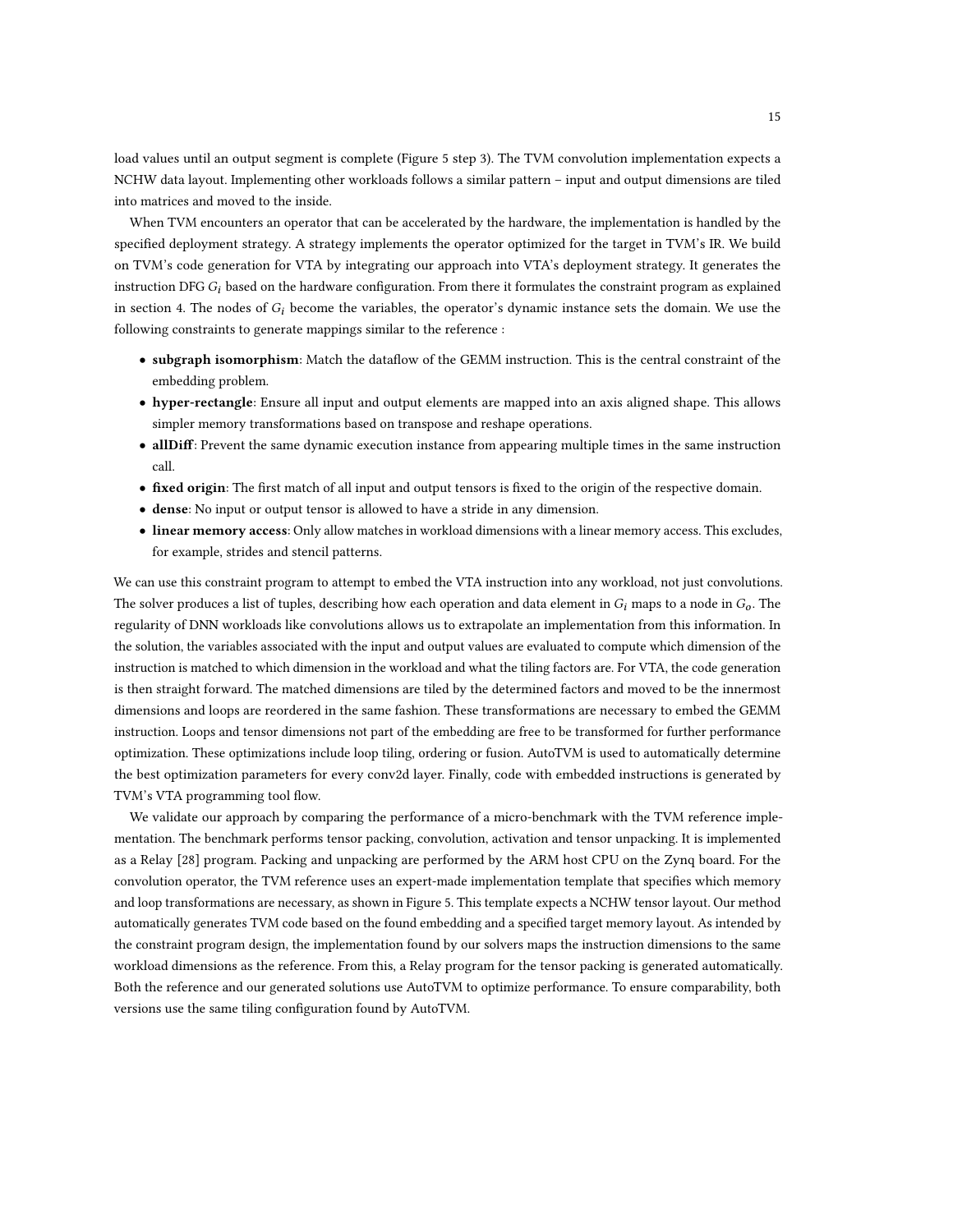load values until an output segment is complete (Figure [5](#page-13-1) step 3). The TVM convolution implementation expects a NCHW data layout. Implementing other workloads follows a similar pattern – input and output dimensions are tiled into matrices and moved to the inside.

When TVM encounters an operator that can be accelerated by the hardware, the implementation is handled by the specified deployment strategy. A strategy implements the operator optimized for the target in TVM's IR. We build on TVM's code generation for VTA by integrating our approach into VTA's deployment strategy. It generates the instruction DFG  $G_i$  based on the hardware configuration. From there it formulates the constraint program as explained in section [4.](#page-8-0) The nodes of  $G_i$  become the variables, the operator's dynamic instance sets the domain. We use the following constraints to generate mappings similar to the reference :

- subgraph isomorphism: Match the dataflow of the GEMM instruction. This is the central constraint of the embedding problem.
- hyper-rectangle: Ensure all input and output elements are mapped into an axis aligned shape. This allows simpler memory transformations based on transpose and reshape operations.
- allDiff: Prevent the same dynamic execution instance from appearing multiple times in the same instruction call.
- fixed origin: The first match of all input and output tensors is fixed to the origin of the respective domain.
- dense: No input or output tensor is allowed to have a stride in any dimension.
- linear memory access: Only allow matches in workload dimensions with a linear memory access. This excludes, for example, strides and stencil patterns.

We can use this constraint program to attempt to embed the VTA instruction into any workload, not just convolutions. The solver produces a list of tuples, describing how each operation and data element in  $G_i$  maps to a node in  $G_0$ . The regularity of DNN workloads like convolutions allows us to extrapolate an implementation from this information. In the solution, the variables associated with the input and output values are evaluated to compute which dimension of the instruction is matched to which dimension in the workload and what the tiling factors are. For VTA, the code generation is then straight forward. The matched dimensions are tiled by the determined factors and moved to be the innermost dimensions and loops are reordered in the same fashion. These transformations are necessary to embed the GEMM instruction. Loops and tensor dimensions not part of the embedding are free to be transformed for further performance optimization. These optimizations include loop tiling, ordering or fusion. AutoTVM is used to automatically determine the best optimization parameters for every conv2d layer. Finally, code with embedded instructions is generated by TVM's VTA programming tool flow.

We validate our approach by comparing the performance of a micro-benchmark with the TVM reference implementation. The benchmark performs tensor packing, convolution, activation and tensor unpacking. It is implemented as a Relay [\[28\]](#page-23-8) program. Packing and unpacking are performed by the ARM host CPU on the Zynq board. For the convolution operator, the TVM reference uses an expert-made implementation template that specifies which memory and loop transformations are necessary, as shown in Figure [5.](#page-13-1) This template expects a NCHW tensor layout. Our method automatically generates TVM code based on the found embedding and a specified target memory layout. As intended by the constraint program design, the implementation found by our solvers maps the instruction dimensions to the same workload dimensions as the reference. From this, a Relay program for the tensor packing is generated automatically. Both the reference and our generated solutions use AutoTVM to optimize performance. To ensure comparability, both versions use the same tiling configuration found by AutoTVM.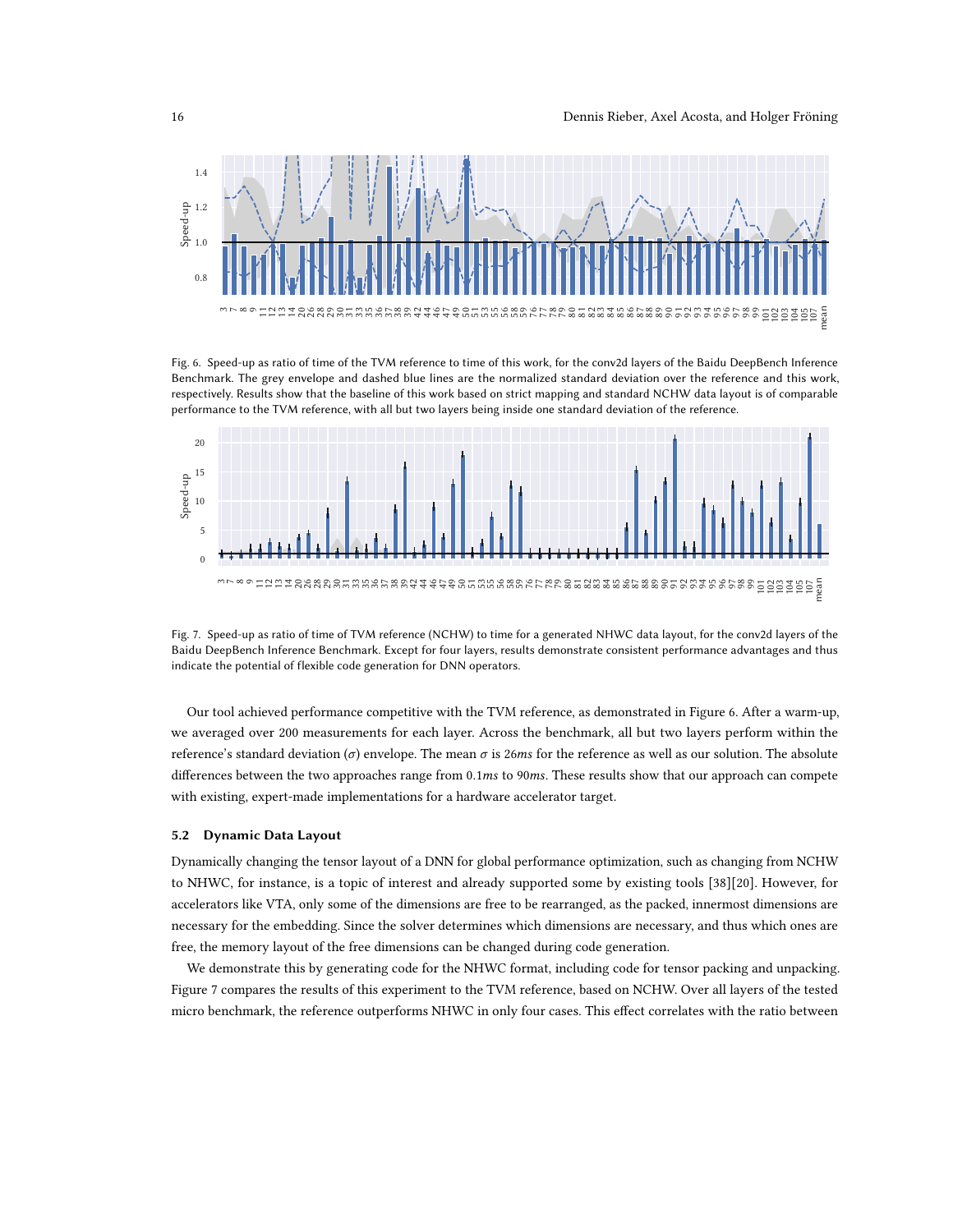<span id="page-15-0"></span>

Fig. 6. Speed-up as ratio of time of the TVM reference to time of this work, for the conv2d layers of the Baidu DeepBench Inference Benchmark. The grey envelope and dashed blue lines are the normalized standard deviation over the reference and this work, respectively. Results show that the baseline of this work based on strict mapping and standard NCHW data layout is of comparable performance to the TVM reference, with all but two layers being inside one standard deviation of the reference.



Fig. 7. Speed-up as ratio of time of TVM reference (NCHW) to time for a generated NHWC data layout, for the conv2d layers of the Baidu DeepBench Inference Benchmark. Except for four layers, results demonstrate consistent performance advantages and thus indicate the potential of flexible code generation for DNN operators.

Our tool achieved performance competitive with the TVM reference, as demonstrated in Figure [6.](#page-15-0) After a warm-up, we averaged over 200 measurements for each layer. Across the benchmark, all but two layers perform within the reference's standard deviation ( $\sigma$ ) envelope. The mean  $\sigma$  is 26ms for the reference as well as our solution. The absolute differences between the two approaches range from 0.1ms to 90ms. These results show that our approach can compete with existing, expert-made implementations for a hardware accelerator target.

# 5.2 Dynamic Data Layout

Dynamically changing the tensor layout of a DNN for global performance optimization, such as changing from NCHW to NHWC, for instance, is a topic of interest and already supported some by existing tools [\[38\]](#page-24-0)[\[20\]](#page-23-20). However, for accelerators like VTA, only some of the dimensions are free to be rearranged, as the packed, innermost dimensions are necessary for the embedding. Since the solver determines which dimensions are necessary, and thus which ones are free, the memory layout of the free dimensions can be changed during code generation.

We demonstrate this by generating code for the NHWC format, including code for tensor packing and unpacking. Figure [7](#page-15-0) compares the results of this experiment to the TVM reference, based on NCHW. Over all layers of the tested micro benchmark, the reference outperforms NHWC in only four cases. This effect correlates with the ratio between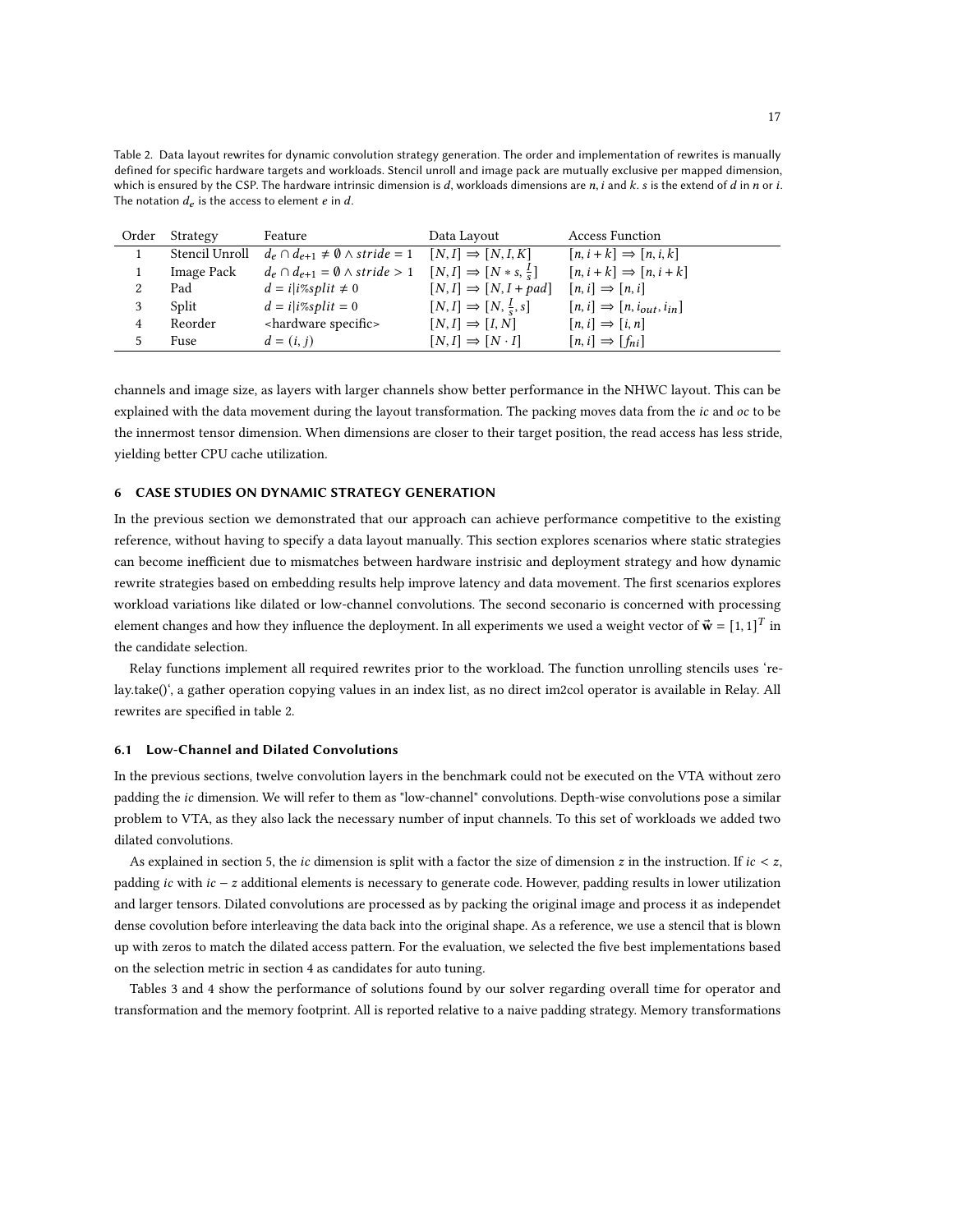<span id="page-16-1"></span>Table 2. Data layout rewrites for dynamic convolution strategy generation. The order and implementation of rewrites is manually defined for specific hardware targets and workloads. Stencil unroll and image pack are mutually exclusive per mapped dimension, which is ensured by the CSP. The hardware intrinsic dimension is  $d$ , workloads dimensions are  $n$ ,  $i$  and  $k$ .  $s$  is the extend of  $d$  in  $n$  or  $i$ . The notation  $d_e$  is the access to element  $e$  in  $d$ .

|   | Order Strategy | Feature                                                                                        | Data Layout                              | <b>Access Function</b>                    |
|---|----------------|------------------------------------------------------------------------------------------------|------------------------------------------|-------------------------------------------|
|   | Stencil Unroll | $d_e \cap d_{e+1} \neq \emptyset \wedge stride = 1$                                            | $[N, I] \Rightarrow [N, I, K]$           | $[n, i+k] \Rightarrow [n, i, k]$          |
|   | Image Pack     | $d_e \cap d_{e+1} = \emptyset \wedge stride > 1 \quad [N, I] \Rightarrow [N * s, \frac{I}{s}]$ |                                          | $[n, i+k] \Rightarrow [n, i+k]$           |
|   | Pad            | $d = i i\%split \neq 0$                                                                        | $[N, I] \Rightarrow [N, I + pad]$        | $[n, i] \Rightarrow [n, i]$               |
| 3 | Split          | $d = i i\%split = 0$                                                                           | $[N, I] \Rightarrow [N, \frac{I}{s}, s]$ | $[n, i] \Rightarrow [n, i_{out}, i_{in}]$ |
| 4 | Reorder        | <hardware specific=""></hardware>                                                              | $[N, I] \Rightarrow [I, N]$              | $[n, i] \Rightarrow [i, n]$               |
|   | Fuse           | $d = (i, j)$                                                                                   | $[N, I] \Rightarrow [N \cdot I]$         | $[n, i] \Rightarrow [f_{ni}]$             |

channels and image size, as layers with larger channels show better performance in the NHWC layout. This can be explained with the data movement during the layout transformation. The packing moves data from the ic and oc to be the innermost tensor dimension. When dimensions are closer to their target position, the read access has less stride, yielding better CPU cache utilization.

### <span id="page-16-0"></span>6 CASE STUDIES ON DYNAMIC STRATEGY GENERATION

In the previous section we demonstrated that our approach can achieve performance competitive to the existing reference, without having to specify a data layout manually. This section explores scenarios where static strategies can become inefficient due to mismatches between hardware instrisic and deployment strategy and how dynamic rewrite strategies based on embedding results help improve latency and data movement. The first scenarios explores workload variations like dilated or low-channel convolutions. The second seconario is concerned with processing element changes and how they influence the deployment. In all experiments we used a weight vector of  $\vec{\textbf{w}} = [1, 1]^T$  in the candidate selection.

Relay functions implement all required rewrites prior to the workload. The function unrolling stencils uses 'relay.take()', a gather operation copying values in an index list, as no direct im2col operator is available in Relay. All rewrites are specified in table [2.](#page-16-1)

#### 6.1 Low-Channel and Dilated Convolutions

In the previous sections, twelve convolution layers in the benchmark could not be executed on the VTA without zero padding the ic dimension. We will refer to them as "low-channel" convolutions. Depth-wise convolutions pose a similar problem to VTA, as they also lack the necessary number of input channels. To this set of workloads we added two dilated convolutions.

As explained in section [5,](#page-12-0) the *ic* dimension is split with a factor the size of dimension z in the instruction. If  $ic < z$ , padding ic with  $ic - z$  additional elements is necessary to generate code. However, padding results in lower utilization and larger tensors. Dilated convolutions are processed as by packing the original image and process it as independet dense covolution before interleaving the data back into the original shape. As a reference, we use a stencil that is blown up with zeros to match the dilated access pattern. For the evaluation, we selected the five best implementations based on the selection metric in section [4](#page-8-0) as candidates for auto tuning.

Tables [3](#page-17-0) and [4](#page-17-1) show the performance of solutions found by our solver regarding overall time for operator and transformation and the memory footprint. All is reported relative to a naive padding strategy. Memory transformations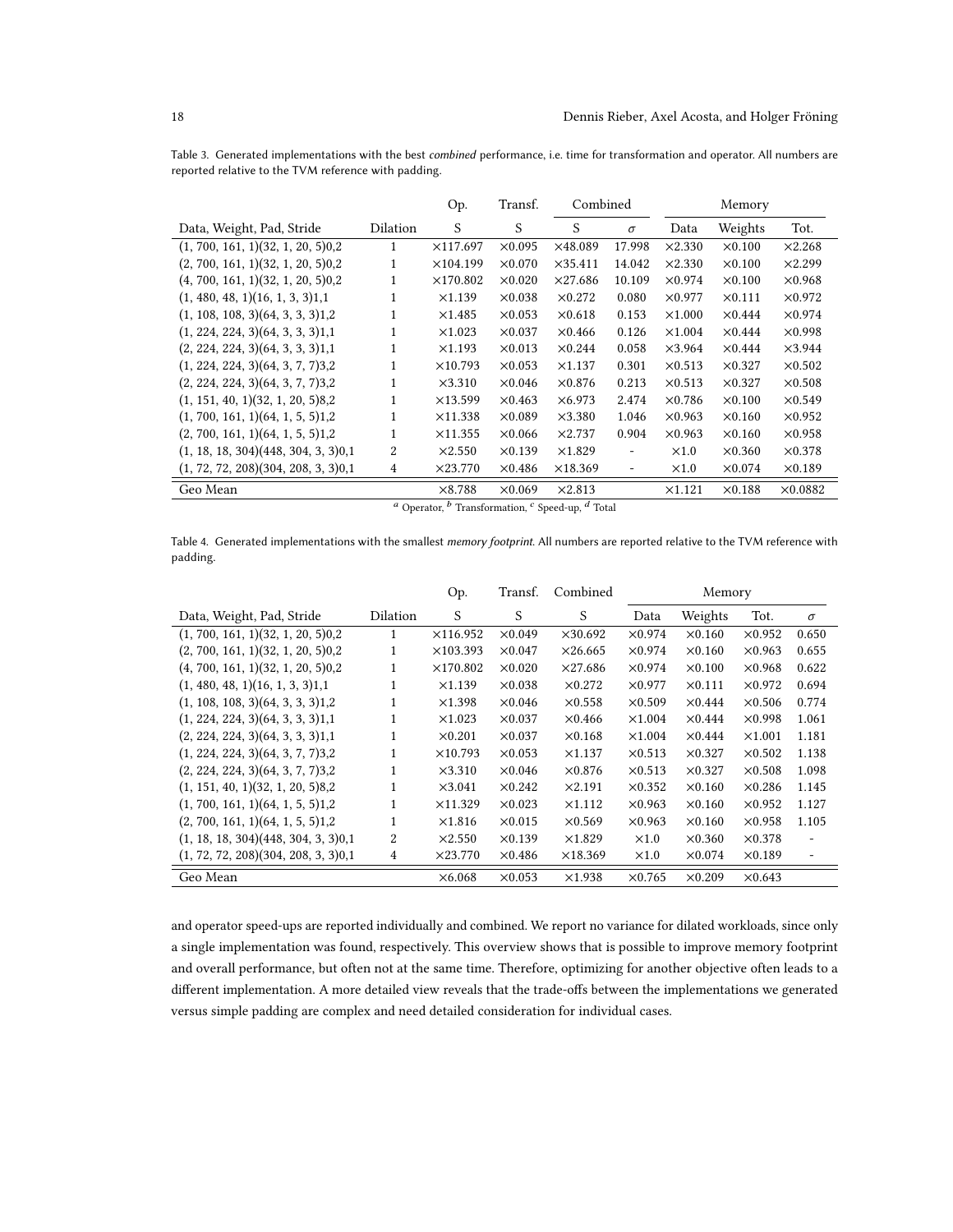<span id="page-17-0"></span>Table 3. Generated implementations with the best combined performance, i.e. time for transformation and operator. All numbers are reported relative to the TVM reference with padding.

|                                     |          | Op.              | Transf.        |                 | Combined                 |                | Memory         |                 |
|-------------------------------------|----------|------------------|----------------|-----------------|--------------------------|----------------|----------------|-----------------|
| Data, Weight, Pad, Stride           | Dilation | S                | S              | S               | $\sigma$                 | Data           | Weights        | Tot.            |
| (1, 700, 161, 1)(32, 1, 20, 5)0,2   | 1        | $\times$ 117.697 | $\times 0.095$ | $\times$ 48.089 | 17.998                   | $\times$ 2.330 | $\times 0.100$ | $\times$ 2.268  |
| (2, 700, 161, 1)(32, 1, 20, 5)0,2   |          | $\times$ 104.199 | $\times 0.070$ | $\times$ 35.411 | 14.042                   | $\times$ 2.330 | $\times 0.100$ | $\times$ 2.299  |
| (4, 700, 161, 1)(32, 1, 20, 5)0,2   |          | $\times$ 170.802 | $\times 0.020$ | $\times$ 27.686 | 10.109                   | $\times 0.974$ | $\times 0.100$ | $\times 0.968$  |
| (1, 480, 48, 1)(16, 1, 3, 3)1,1     | 1        | $\times$ 1.139   | $\times 0.038$ | $\times$ 0.272  | 0.080                    | $\times 0.977$ | $\times 0.111$ | $\times$ 0.972  |
| (1, 108, 108, 3)(64, 3, 3, 3)1,2    |          | $\times$ 1.485   | $\times 0.053$ | $\times 0.618$  | 0.153                    | $\times1.000$  | $\times 0.444$ | $\times 0.974$  |
| (1, 224, 224, 3)(64, 3, 3, 3)1,1    |          | $\times1.023$    | $\times$ 0.037 | $\times$ 0.466  | 0.126                    | $\times1.004$  | $\times 0.444$ | $\times$ 0.998  |
| (2, 224, 224, 3)(64, 3, 3, 3)1,1    |          | $\times$ 1.193   | $\times 0.013$ | $\times 0.244$  | 0.058                    | $\times$ 3.964 | $\times 0.444$ | $\times$ 3.944  |
| (1, 224, 224, 3)(64, 3, 7, 7)3,2    |          | $\times$ 10.793  | $\times 0.053$ | $\times1.137$   | 0.301                    | $\times 0.513$ | $\times$ 0.327 | $\times 0.502$  |
| (2, 224, 224, 3)(64, 3, 7, 7)3,2    | 1        | $\times$ 3.310   | $\times 0.046$ | $\times 0.876$  | 0.213                    | $\times 0.513$ | $\times$ 0.327 | $\times 0.508$  |
| (1, 151, 40, 1)(32, 1, 20, 5)8,2    | 1        | $\times$ 13.599  | $\times 0.463$ | $\times 6.973$  | 2.474                    | $\times$ 0.786 | $\times 0.100$ | $\times 0.549$  |
| (1, 700, 161, 1)(64, 1, 5, 5)1,2    |          | $\times$ 11.338  | $\times 0.089$ | $\times$ 3.380  | 1.046                    | $\times$ 0.963 | $\times 0.160$ | $\times$ 0.952  |
| (2, 700, 161, 1)(64, 1, 5, 5)1,2    |          | $\times$ 11.355  | $\times 0.066$ | $\times$ 2.737  | 0.904                    | $\times$ 0.963 | $\times 0.160$ | $\times 0.958$  |
| (1, 18, 18, 304)(448, 304, 3, 3)0,1 | 2        | $\times$ 2.550   | $\times$ 0.139 | $\times$ 1.829  | $\overline{\phantom{m}}$ | $\times1.0$    | $\times 0.360$ | $\times 0.378$  |
| (1, 72, 72, 208)(304, 208, 3, 3)0,1 | 4        | $\times$ 23.770  | $\times$ 0.486 | $\times$ 18.369 | $\overline{\phantom{a}}$ | $\times1.0$    | $\times 0.074$ | $\times$ 0.189  |
| Geo Mean                            |          | $\times 8.788$   | $\times$ 0.069 | $\times$ 2.813  |                          | x1.121         | $\times 0.188$ | $\times 0.0882$ |

<sup>a</sup> Operator, <sup>b</sup> Transformation, <sup>c</sup> Speed-up, <sup>d</sup> Total

<span id="page-17-1"></span>Table 4. Generated implementations with the smallest memory footprint. All numbers are reported relative to the TVM reference with padding.

|                                     |          | Op.              | Transf.        | Combined        | Memory         |                |                |                   |
|-------------------------------------|----------|------------------|----------------|-----------------|----------------|----------------|----------------|-------------------|
| Data, Weight, Pad, Stride           | Dilation | S                | S              | S               | Data           | Weights        | Tot.           | $\sigma$          |
| (1, 700, 161, 1)(32, 1, 20, 5)0,2   | 1        | ×116.952         | $\times 0.049$ | $\times$ 30.692 | $\times 0.974$ | $\times 0.160$ | $\times$ 0.952 | 0.650             |
| (2, 700, 161, 1)(32, 1, 20, 5)0,2   | 1        | $\times$ 103.393 | $\times 0.047$ | $\times$ 26.665 | $\times 0.974$ | $\times 0.160$ | $\times 0.963$ | 0.655             |
| (4, 700, 161, 1)(32, 1, 20, 5)0,2   | 1        | $\times$ 170.802 | $\times 0.020$ | $\times$ 27.686 | $\times 0.974$ | $\times 0.100$ | $\times 0.968$ | 0.622             |
| (1, 480, 48, 1)(16, 1, 3, 3)1,1     | 1        | $\times$ 1.139   | $\times$ 0.038 | $\times 0.272$  | $\times$ 0.977 | $\times 0.111$ | $\times$ 0.972 | 0.694             |
| (1, 108, 108, 3)(64, 3, 3, 3)1,2    | 1        | $\times$ 1.398   | $\times 0.046$ | $\times 0.558$  | $\times 0.509$ | $\times 0.444$ | $\times 0.506$ | 0.774             |
| (1, 224, 224, 3)(64, 3, 3, 3)1,1    | 1        | $\times1.023$    | $\times$ 0.037 | $\times 0.466$  | $\times1.004$  | $\times 0.444$ | $\times$ 0.998 | 1.061             |
| (2, 224, 224, 3)(64, 3, 3, 3)1,1    | 1        | $\times 0.201$   | $\times$ 0.037 | $\times 0.168$  | $\times1.004$  | $\times 0.444$ | $\times1.001$  | 1.181             |
| (1, 224, 224, 3)(64, 3, 7, 7)3,2    | 1        | $\times$ 10.793  | $\times$ 0.053 | $\times$ 1.137  | $\times$ 0.513 | $\times$ 0.327 | $\times 0.502$ | 1.138             |
| (2, 224, 224, 3)(64, 3, 7, 7)3,2    | 1        | $\times$ 3.310   | $\times 0.046$ | $\times 0.876$  | $\times$ 0.513 | $\times$ 0.327 | $\times 0.508$ | 1.098             |
| (1, 151, 40, 1)(32, 1, 20, 5)8,2    |          | $\times$ 3.041   | $\times 0.242$ | $\times$ 2.191  | $\times 0.352$ | $\times 0.160$ | $\times$ 0.286 | 1.145             |
| (1, 700, 161, 1)(64, 1, 5, 5)1,2    |          | $\times$ 11.329  | $\times$ 0.023 | $\times$ 1.112  | $\times$ 0.963 | $\times 0.160$ | $\times$ 0.952 | 1.127             |
| (2, 700, 161, 1)(64, 1, 5, 5)1,2    | 1        | $\times1.816$    | $\times 0.015$ | $\times$ 0.569  | $\times$ 0.963 | $\times 0.160$ | $\times 0.958$ | 1.105             |
| (1, 18, 18, 304)(448, 304, 3, 3)0,1 | 2        | $\times2.550$    | $\times 0.139$ | $\times1.829$   | $\times1.0$    | $\times 0.360$ | $\times 0.378$ |                   |
| (1, 72, 72, 208)(304, 208, 3, 3)0,1 | 4        | $\times$ 23.770  | $\times$ 0.486 | $\times$ 18.369 | $\times1.0$    | $\times 0.074$ | $\times$ 0.189 | $\qquad \qquad -$ |
| Geo Mean                            |          | $\times6.068$    | $\times$ 0.053 | $\times$ 1.938  | $\times$ 0.765 | $\times 0.209$ | $\times 0.643$ |                   |

and operator speed-ups are reported individually and combined. We report no variance for dilated workloads, since only a single implementation was found, respectively. This overview shows that is possible to improve memory footprint and overall performance, but often not at the same time. Therefore, optimizing for another objective often leads to a different implementation. A more detailed view reveals that the trade-offs between the implementations we generated versus simple padding are complex and need detailed consideration for individual cases.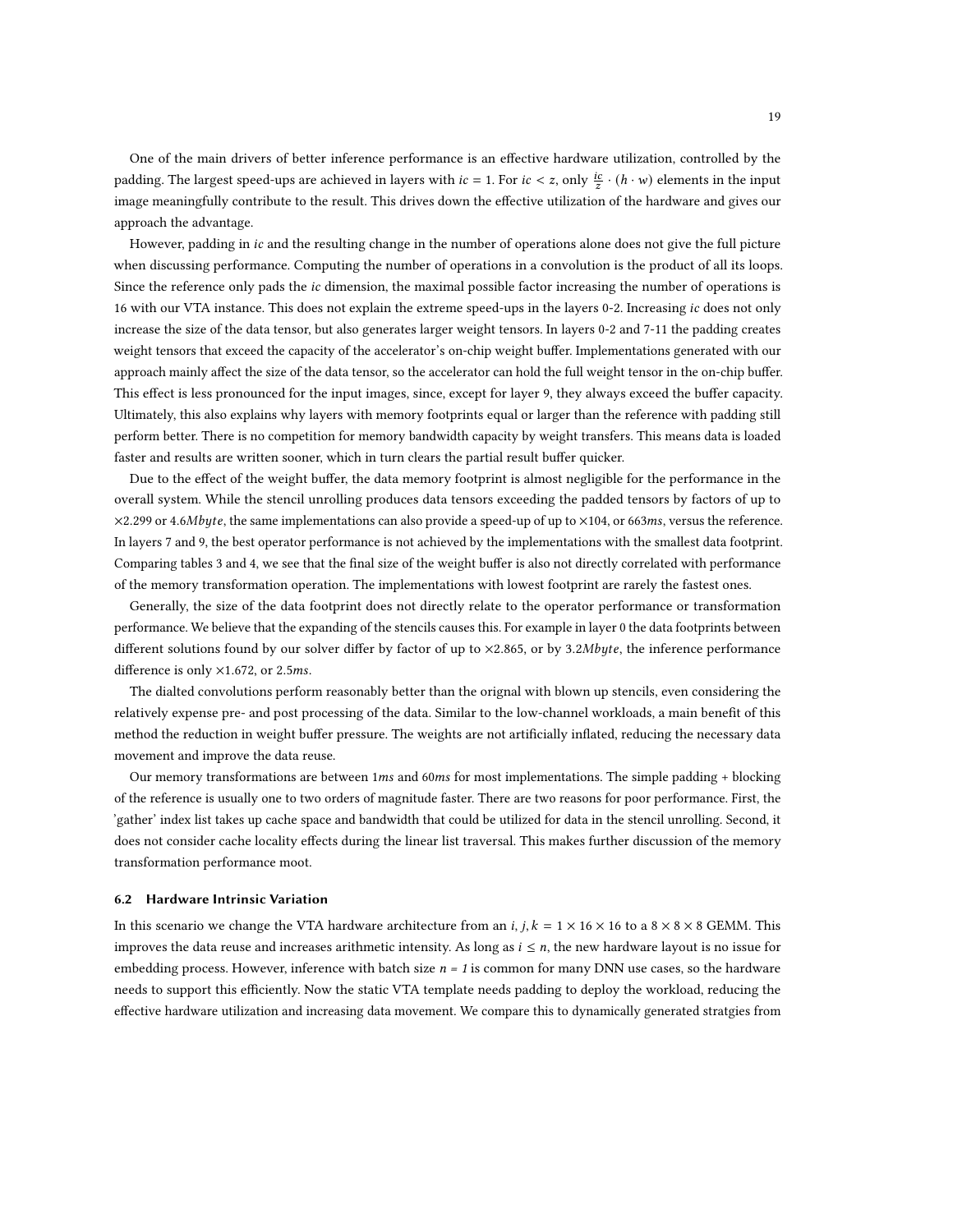One of the main drivers of better inference performance is an effective hardware utilization, controlled by the padding. The largest speed-ups are achieved in layers with  $ic = 1$ . For  $ic < z$ , only  $\frac{ic}{z} \cdot (h \cdot w)$  elements in the input image meaningfully contribute to the result. This drives down the effective utilization of the hardware and gives our approach the advantage.

However, padding in ic and the resulting change in the number of operations alone does not give the full picture when discussing performance. Computing the number of operations in a convolution is the product of all its loops. Since the reference only pads the *ic* dimension, the maximal possible factor increasing the number of operations is 16 with our VTA instance. This does not explain the extreme speed-ups in the layers 0-2. Increasing ic does not only increase the size of the data tensor, but also generates larger weight tensors. In layers 0-2 and 7-11 the padding creates weight tensors that exceed the capacity of the accelerator's on-chip weight buffer. Implementations generated with our approach mainly affect the size of the data tensor, so the accelerator can hold the full weight tensor in the on-chip buffer. This effect is less pronounced for the input images, since, except for layer 9, they always exceed the buffer capacity. Ultimately, this also explains why layers with memory footprints equal or larger than the reference with padding still perform better. There is no competition for memory bandwidth capacity by weight transfers. This means data is loaded faster and results are written sooner, which in turn clears the partial result buffer quicker.

Due to the effect of the weight buffer, the data memory footprint is almost negligible for the performance in the overall system. While the stencil unrolling produces data tensors exceeding the padded tensors by factors of up to  $\times$ 2.299 or 4.6Mbyte, the same implementations can also provide a speed-up of up to  $\times$ 104, or 663ms, versus the reference. In layers 7 and 9, the best operator performance is not achieved by the implementations with the smallest data footprint. Comparing tables [3](#page-17-0) and [4,](#page-17-1) we see that the final size of the weight buffer is also not directly correlated with performance of the memory transformation operation. The implementations with lowest footprint are rarely the fastest ones.

Generally, the size of the data footprint does not directly relate to the operator performance or transformation performance. We believe that the expanding of the stencils causes this. For example in layer 0 the data footprints between different solutions found by our solver differ by factor of up to ×2.865, or by 3.2Mbyte, the inference performance difference is only  $\times$ 1.672, or 2.5ms.

The dialted convolutions perform reasonably better than the orignal with blown up stencils, even considering the relatively expense pre- and post processing of the data. Similar to the low-channel workloads, a main benefit of this method the reduction in weight buffer pressure. The weights are not artificially inflated, reducing the necessary data movement and improve the data reuse.

Our memory transformations are between  $1ms$  and  $60ms$  for most implementations. The simple padding + blocking of the reference is usually one to two orders of magnitude faster. There are two reasons for poor performance. First, the 'gather' index list takes up cache space and bandwidth that could be utilized for data in the stencil unrolling. Second, it does not consider cache locality effects during the linear list traversal. This makes further discussion of the memory transformation performance moot.

#### 6.2 Hardware Intrinsic Variation

In this scenario we change the VTA hardware architecture from an *i*, *j*,  $k = 1 \times 16 \times 16$  to a  $8 \times 8 \times 8$  GEMM. This improves the data reuse and increases arithmetic intensity. As long as  $i \leq n$ , the new hardware layout is no issue for embedding process. However, inference with batch size  $n = 1$  is common for many DNN use cases, so the hardware needs to support this efficiently. Now the static VTA template needs padding to deploy the workload, reducing the effective hardware utilization and increasing data movement. We compare this to dynamically generated stratgies from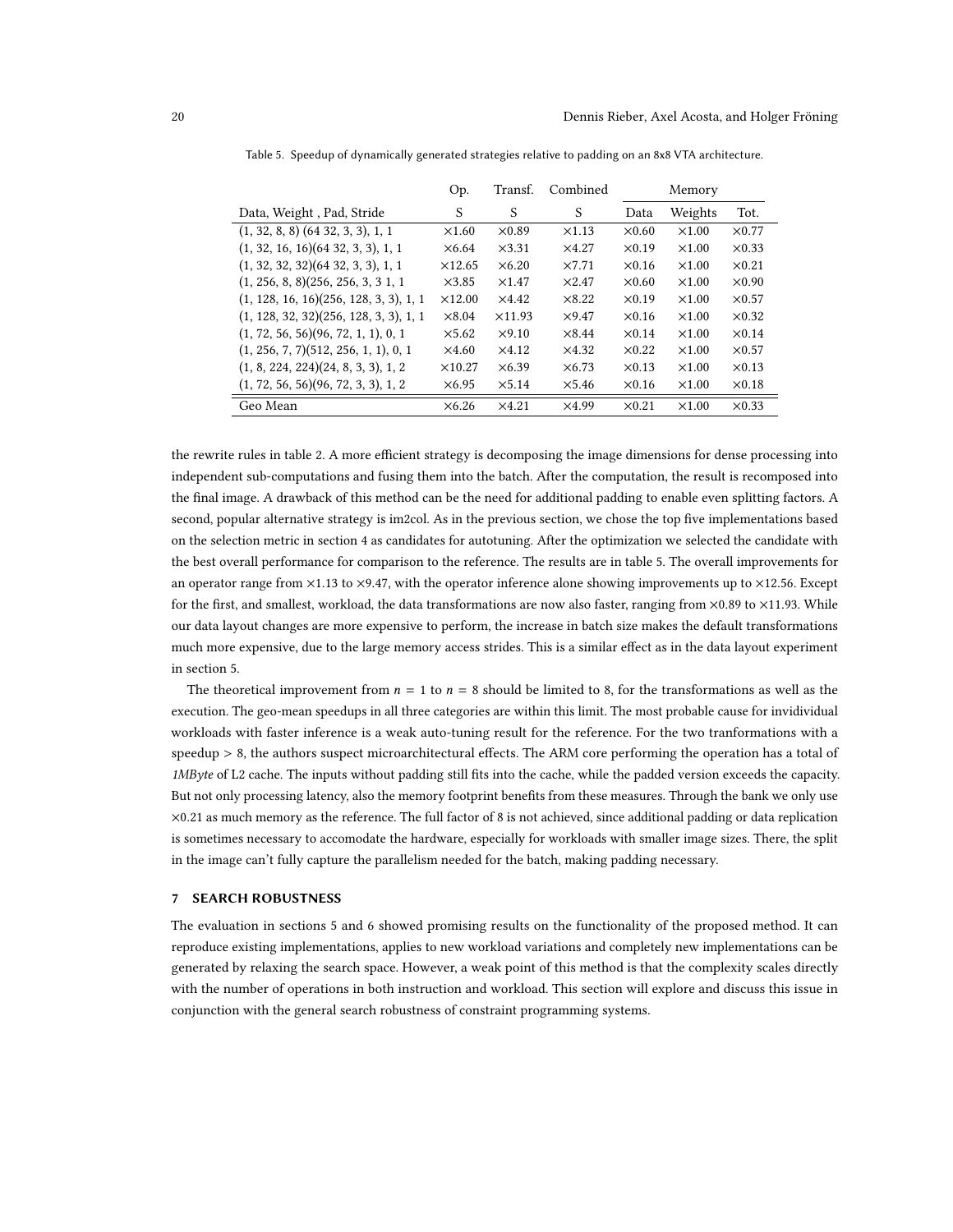|                                          | Op.            | Transf.        | Combined      |               | Memory       |               |
|------------------------------------------|----------------|----------------|---------------|---------------|--------------|---------------|
| Data, Weight, Pad, Stride                | S              | S              | S             | Data          | Weights      | Tot.          |
| $(1, 32, 8, 8)$ $(64 32, 3, 3), 1, 1$    | $\times1.60$   | $\times 0.89$  | $\times$ 1.13 | $\times 0.60$ | $\times1.00$ | $\times 0.77$ |
| (1, 32, 16, 16)(64, 32, 3, 3), 1, 1      | $\times 6.64$  | $\times$ 3.31  | $\times$ 4.27 | $\times 0.19$ | $\times1.00$ | $\times 0.33$ |
| (1, 32, 32, 32)(64, 32, 3, 3), 1, 1      | $\times$ 12.65 | $\times 6.20$  | $\times7.71$  | $\times 0.16$ | $\times1.00$ | $\times 0.21$ |
| (1, 256, 8, 8)(256, 256, 3, 3, 1, 1)     | $\times$ 3.85  | $\times$ 1.47  | $\times2.47$  | $\times 0.60$ | $\times1.00$ | $\times 0.90$ |
| $(1, 128, 16, 16)(256, 128, 3, 3), 1, 1$ | $\times$ 12.00 | $\times$ 4.42  | $\times$ 8.22 | $\times 0.19$ | $\times1.00$ | $\times 0.57$ |
| $(1, 128, 32, 32)(256, 128, 3, 3), 1, 1$ | $\times 8.04$  | $\times$ 11.93 | $\times$ 9.47 | $\times 0.16$ | $\times1.00$ | $\times 0.32$ |
| (1, 72, 56, 56)(96, 72, 1, 1), 0, 1      | $\times$ 5.62  | $\times$ 9.10  | $\times$ 8.44 | $\times 0.14$ | $\times1.00$ | $\times 0.14$ |
| (1, 256, 7, 7)(512, 256, 1, 1), 0, 1     | $\times4.60$   | $\times$ 4.12  | $\times$ 4.32 | $\times 0.22$ | $\times1.00$ | $\times 0.57$ |
| (1, 8, 224, 224)(24, 8, 3, 3), 1, 2      | $\times$ 10.27 | $\times 6.39$  | $\times 6.73$ | $\times 0.13$ | $\times1.00$ | $\times 0.13$ |
| (1, 72, 56, 56)(96, 72, 3, 3), 1, 2      | $\times 6.95$  | $\times$ 5.14  | $\times$ 5.46 | $\times 0.16$ | $\times1.00$ | $\times 0.18$ |
| Geo Mean                                 | $\times 6.26$  | $\times$ 4.21  | $\times$ 4.99 | $\times 0.21$ | $\times1.00$ | $\times 0.33$ |

<span id="page-19-0"></span>Table 5. Speedup of dynamically generated strategies relative to padding on an 8x8 VTA architecture.

the rewrite rules in table [2.](#page-16-1) A more efficient strategy is decomposing the image dimensions for dense processing into independent sub-computations and fusing them into the batch. After the computation, the result is recomposed into the final image. A drawback of this method can be the need for additional padding to enable even splitting factors. A second, popular alternative strategy is im2col. As in the previous section, we chose the top five implementations based on the selection metric in section [4](#page-8-0) as candidates for autotuning. After the optimization we selected the candidate with the best overall performance for comparison to the reference. The results are in table [5.](#page-19-0) The overall improvements for an operator range from  $\times$ 1.13 to  $\times$ 9.47, with the operator inference alone showing improvements up to  $\times$ 12.56. Except for the first, and smallest, workload, the data transformations are now also faster, ranging from ×0.89 to ×11.93. While our data layout changes are more expensive to perform, the increase in batch size makes the default transformations much more expensive, due to the large memory access strides. This is a similar effect as in the data layout experiment in section [5.](#page-12-0)

The theoretical improvement from  $n = 1$  to  $n = 8$  should be limited to 8, for the transformations as well as the execution. The geo-mean speedups in all three categories are within this limit. The most probable cause for invidividual workloads with faster inference is a weak auto-tuning result for the reference. For the two tranformations with a speedup > 8, the authors suspect microarchitectural effects. The ARM core performing the operation has a total of 1MByte of L2 cache. The inputs without padding still fits into the cache, while the padded version exceeds the capacity. But not only processing latency, also the memory footprint benefits from these measures. Through the bank we only use ×0.21 as much memory as the reference. The full factor of 8 is not achieved, since additional padding or data replication is sometimes necessary to accomodate the hardware, especially for workloads with smaller image sizes. There, the split in the image can't fully capture the parallelism needed for the batch, making padding necessary.

# 7 SEARCH ROBUSTNESS

The evaluation in sections [5](#page-12-0) and [6](#page-16-0) showed promising results on the functionality of the proposed method. It can reproduce existing implementations, applies to new workload variations and completely new implementations can be generated by relaxing the search space. However, a weak point of this method is that the complexity scales directly with the number of operations in both instruction and workload. This section will explore and discuss this issue in conjunction with the general search robustness of constraint programming systems.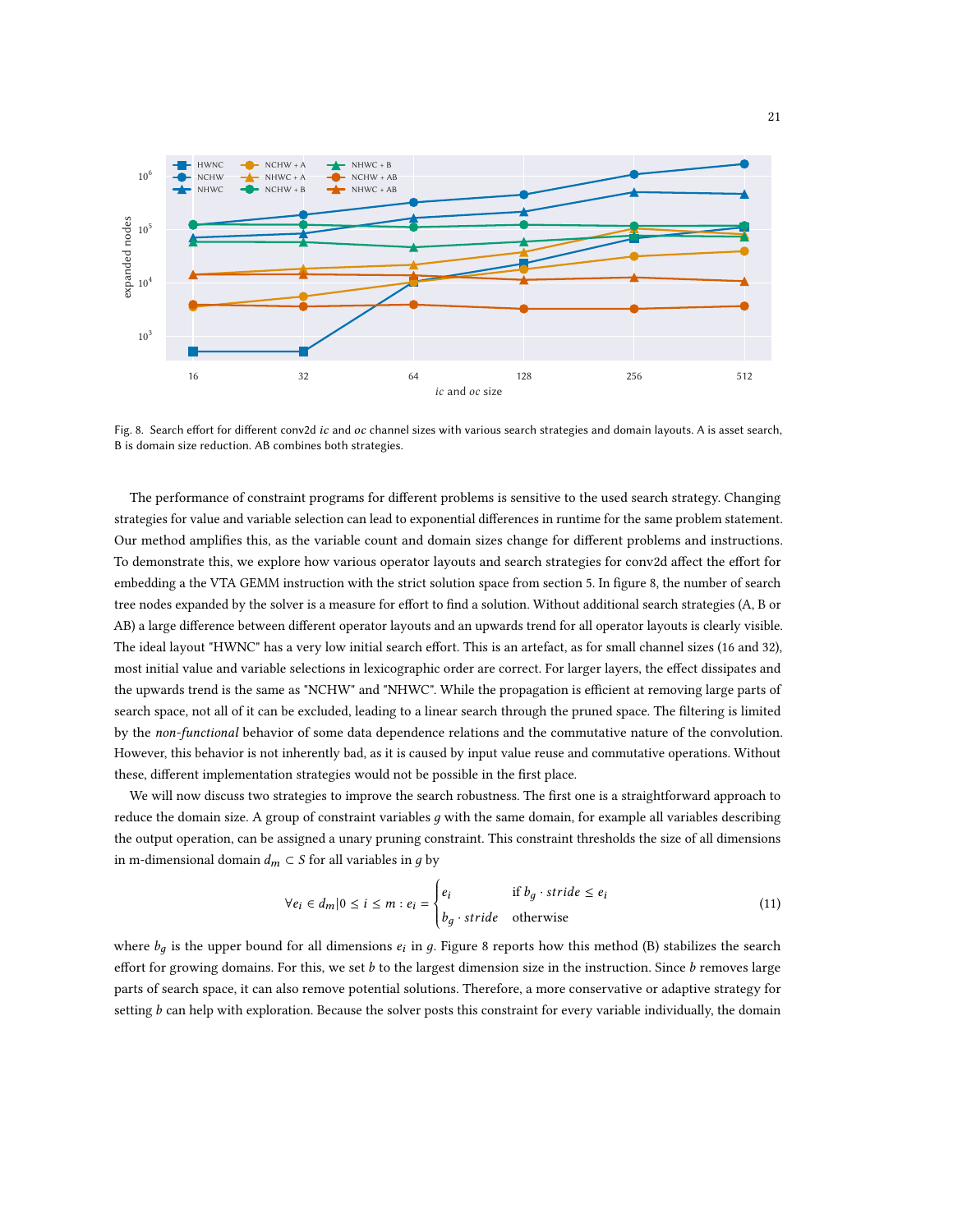<span id="page-20-0"></span>

Fig. 8. Search effort for different conv2d ic and oc channel sizes with various search strategies and domain layouts. A is asset search, B is domain size reduction. AB combines both strategies.

The performance of constraint programs for different problems is sensitive to the used search strategy. Changing strategies for value and variable selection can lead to exponential differences in runtime for the same problem statement. Our method amplifies this, as the variable count and domain sizes change for different problems and instructions. To demonstrate this, we explore how various operator layouts and search strategies for conv2d affect the effort for embedding a the VTA GEMM instruction with the strict solution space from section [5.](#page-12-0) In figure [8,](#page-20-0) the number of search tree nodes expanded by the solver is a measure for effort to find a solution. Without additional search strategies (A, B or AB) a large difference between different operator layouts and an upwards trend for all operator layouts is clearly visible. The ideal layout "HWNC" has a very low initial search effort. This is an artefact, as for small channel sizes (16 and 32), most initial value and variable selections in lexicographic order are correct. For larger layers, the effect dissipates and the upwards trend is the same as "NCHW" and "NHWC". While the propagation is efficient at removing large parts of search space, not all of it can be excluded, leading to a linear search through the pruned space. The filtering is limited by the non-functional behavior of some data dependence relations and the commutative nature of the convolution. However, this behavior is not inherently bad, as it is caused by input value reuse and commutative operations. Without these, different implementation strategies would not be possible in the first place.

We will now discuss two strategies to improve the search robustness. The first one is a straightforward approach to reduce the domain size. A group of constraint variables  $q$  with the same domain, for example all variables describing the output operation, can be assigned a unary pruning constraint. This constraint thresholds the size of all dimensions in m-dimensional domain  $d_m \subset S$  for all variables in g by

$$
\forall e_i \in d_m | 0 \le i \le m : e_i = \begin{cases} e_i & \text{if } b_g \cdot \text{stride} \le e_i \\ b_g \cdot \text{stride} & \text{otherwise} \end{cases} \tag{11}
$$

where  $b_q$  is the upper bound for all dimensions  $e_i$  in g. Figure [8](#page-20-0) reports how this method (B) stabilizes the search effort for growing domains. For this, we set  $b$  to the largest dimension size in the instruction. Since  $b$  removes large parts of search space, it can also remove potential solutions. Therefore, a more conservative or adaptive strategy for setting *b* can help with exploration. Because the solver posts this constraint for every variable individually, the domain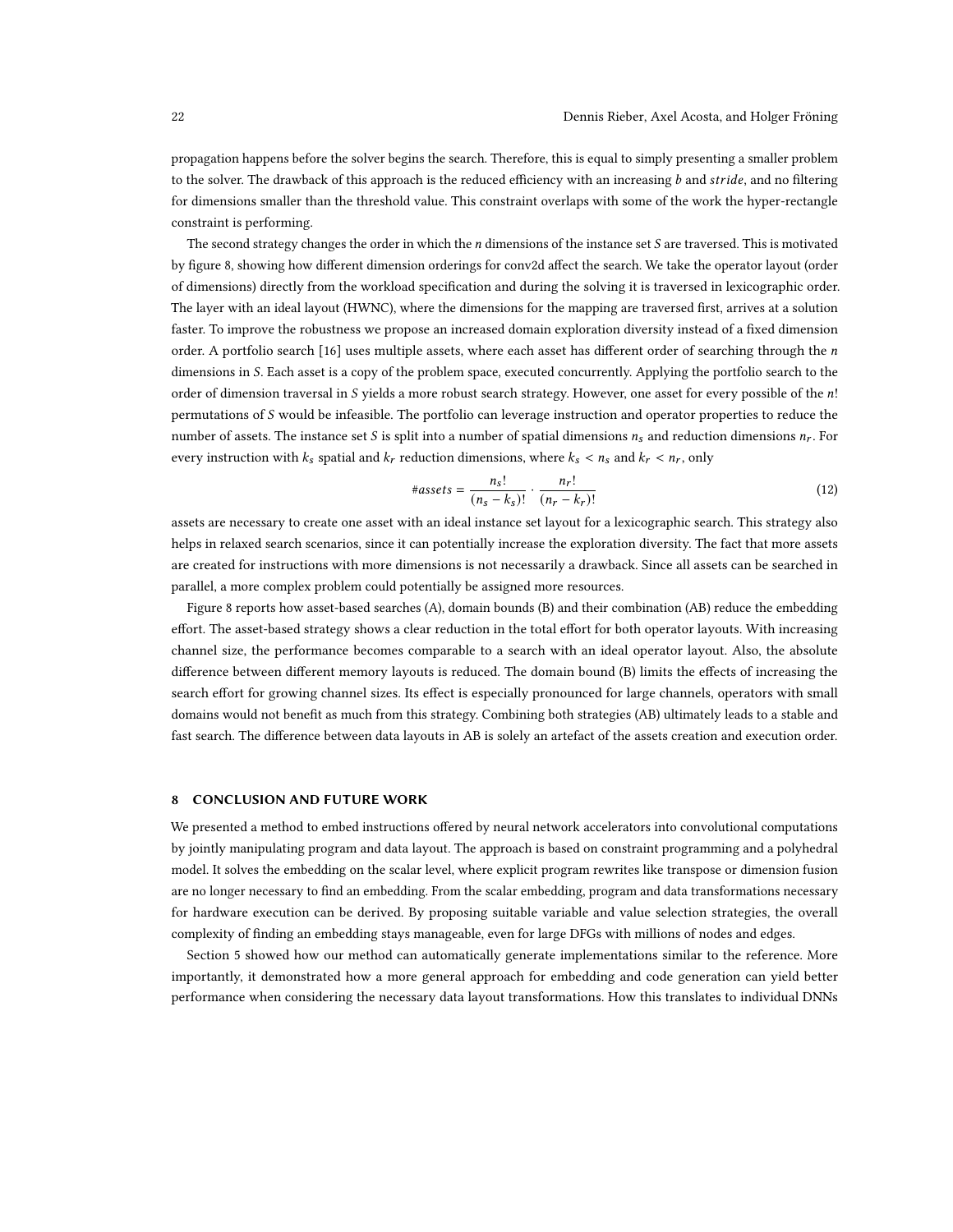propagation happens before the solver begins the search. Therefore, this is equal to simply presenting a smaller problem to the solver. The drawback of this approach is the reduced efficiency with an increasing b and stride, and no filtering for dimensions smaller than the threshold value. This constraint overlaps with some of the work the hyper-rectangle constraint is performing.

The second strategy changes the order in which the  $n$  dimensions of the instance set  $S$  are traversed. This is motivated by figure [8,](#page-20-0) showing how different dimension orderings for conv2d affect the search. We take the operator layout (order of dimensions) directly from the workload specification and during the solving it is traversed in lexicographic order. The layer with an ideal layout (HWNC), where the dimensions for the mapping are traversed first, arrives at a solution faster. To improve the robustness we propose an increased domain exploration diversity instead of a fixed dimension order. A portfolio search  $[16]$  uses multiple assets, where each asset has different order of searching through the *n* dimensions in S. Each asset is a copy of the problem space, executed concurrently. Applying the portfolio search to the order of dimension traversal in  $S$  yields a more robust search strategy. However, one asset for every possible of the  $n!$ permutations of  $S$  would be infeasible. The portfolio can leverage instruction and operator properties to reduce the number of assets. The instance set S is split into a number of spatial dimensions  $n_s$  and reduction dimensions  $n_r$ . For every instruction with  $k_s$  spatial and  $k_r$  reduction dimensions, where  $k_s < n_s$  and  $k_r < n_r$ , only

$$
\#assets = \frac{n_s!}{(n_s - k_s)!} \cdot \frac{n_r!}{(n_r - k_r)!}
$$
 (12)

assets are necessary to create one asset with an ideal instance set layout for a lexicographic search. This strategy also helps in relaxed search scenarios, since it can potentially increase the exploration diversity. The fact that more assets are created for instructions with more dimensions is not necessarily a drawback. Since all assets can be searched in parallel, a more complex problem could potentially be assigned more resources.

Figure [8](#page-20-0) reports how asset-based searches (A), domain bounds (B) and their combination (AB) reduce the embedding effort. The asset-based strategy shows a clear reduction in the total effort for both operator layouts. With increasing channel size, the performance becomes comparable to a search with an ideal operator layout. Also, the absolute difference between different memory layouts is reduced. The domain bound (B) limits the effects of increasing the search effort for growing channel sizes. Its effect is especially pronounced for large channels, operators with small domains would not benefit as much from this strategy. Combining both strategies (AB) ultimately leads to a stable and fast search. The difference between data layouts in AB is solely an artefact of the assets creation and execution order.

# 8 CONCLUSION AND FUTURE WORK

We presented a method to embed instructions offered by neural network accelerators into convolutional computations by jointly manipulating program and data layout. The approach is based on constraint programming and a polyhedral model. It solves the embedding on the scalar level, where explicit program rewrites like transpose or dimension fusion are no longer necessary to find an embedding. From the scalar embedding, program and data transformations necessary for hardware execution can be derived. By proposing suitable variable and value selection strategies, the overall complexity of finding an embedding stays manageable, even for large DFGs with millions of nodes and edges.

Section [5](#page-12-0) showed how our method can automatically generate implementations similar to the reference. More importantly, it demonstrated how a more general approach for embedding and code generation can yield better performance when considering the necessary data layout transformations. How this translates to individual DNNs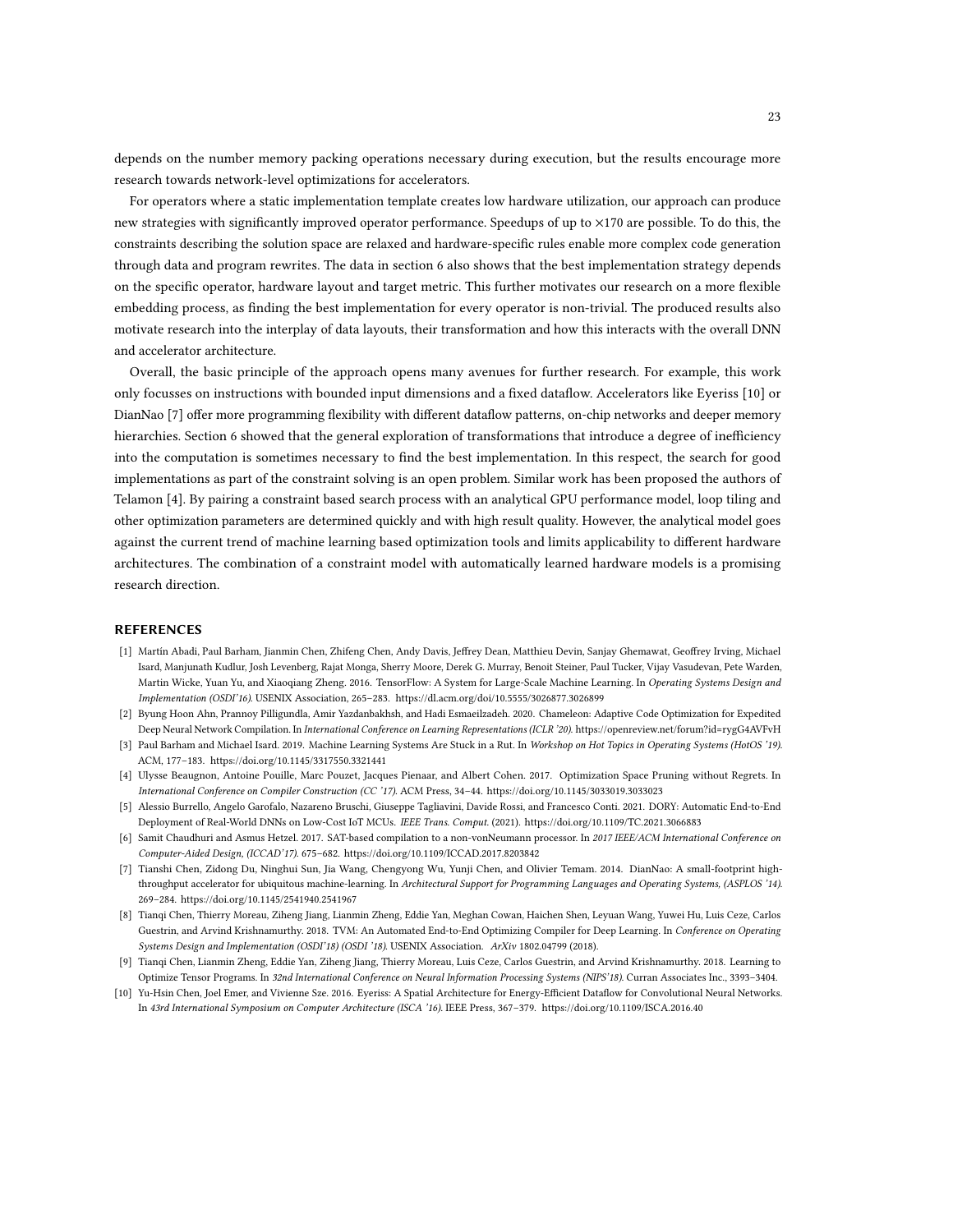depends on the number memory packing operations necessary during execution, but the results encourage more research towards network-level optimizations for accelerators.

For operators where a static implementation template creates low hardware utilization, our approach can produce new strategies with significantly improved operator performance. Speedups of up to ×170 are possible. To do this, the constraints describing the solution space are relaxed and hardware-specific rules enable more complex code generation through data and program rewrites. The data in section [6](#page-16-0) also shows that the best implementation strategy depends on the specific operator, hardware layout and target metric. This further motivates our research on a more flexible embedding process, as finding the best implementation for every operator is non-trivial. The produced results also motivate research into the interplay of data layouts, their transformation and how this interacts with the overall DNN and accelerator architecture.

Overall, the basic principle of the approach opens many avenues for further research. For example, this work only focusses on instructions with bounded input dimensions and a fixed dataflow. Accelerators like Eyeriss [\[10\]](#page-22-7) or DianNao [\[7\]](#page-22-8) offer more programming flexibility with different dataflow patterns, on-chip networks and deeper memory hierarchies. Section [6](#page-16-0) showed that the general exploration of transformations that introduce a degree of inefficiency into the computation is sometimes necessary to find the best implementation. In this respect, the search for good implementations as part of the constraint solving is an open problem. Similar work has been proposed the authors of Telamon [\[4\]](#page-22-3). By pairing a constraint based search process with an analytical GPU performance model, loop tiling and other optimization parameters are determined quickly and with high result quality. However, the analytical model goes against the current trend of machine learning based optimization tools and limits applicability to different hardware architectures. The combination of a constraint model with automatically learned hardware models is a promising research direction.

# **REFERENCES**

- <span id="page-22-0"></span>[1] Martín Abadi, Paul Barham, Jianmin Chen, Zhifeng Chen, Andy Davis, Jeffrey Dean, Matthieu Devin, Sanjay Ghemawat, Geoffrey Irving, Michael Isard, Manjunath Kudlur, Josh Levenberg, Rajat Monga, Sherry Moore, Derek G. Murray, Benoit Steiner, Paul Tucker, Vijay Vasudevan, Pete Warden, Martin Wicke, Yuan Yu, and Xiaoqiang Zheng. 2016. TensorFlow: A System for Large-Scale Machine Learning. In Operating Systems Design and Implementation (OSDI'16). USENIX Association, 265–283.<https://dl.acm.org/doi/10.5555/3026877.3026899>
- <span id="page-22-4"></span>[2] Byung Hoon Ahn, Prannoy Pilligundla, Amir Yazdanbakhsh, and Hadi Esmaeilzadeh. 2020. Chameleon: Adaptive Code Optimization for Expedited Deep Neural Network Compilation. In International Conference on Learning Representations (ICLR '20).<https://openreview.net/forum?id=rygG4AVFvH>
- <span id="page-22-1"></span>[3] Paul Barham and Michael Isard. 2019. Machine Learning Systems Are Stuck in a Rut. In Workshop on Hot Topics in Operating Systems (HotOS '19). ACM, 177–183.<https://doi.org/10.1145/3317550.3321441>
- <span id="page-22-3"></span>[4] Ulysse Beaugnon, Antoine Pouille, Marc Pouzet, Jacques Pienaar, and Albert Cohen. 2017. Optimization Space Pruning without Regrets. In International Conference on Compiler Construction (CC '17). ACM Press, 34–44.<https://doi.org/10.1145/3033019.3033023>
- <span id="page-22-6"></span>[5] Alessio Burrello, Angelo Garofalo, Nazareno Bruschi, Giuseppe Tagliavini, Davide Rossi, and Francesco Conti. 2021. DORY: Automatic End-to-End Deployment of Real-World DNNs on Low-Cost IoT MCUs. IEEE Trans. Comput. (2021).<https://doi.org/10.1109/TC.2021.3066883>
- <span id="page-22-9"></span>[6] Samit Chaudhuri and Asmus Hetzel. 2017. SAT-based compilation to a non-vonNeumann processor. In 2017 IEEE/ACM International Conference on Computer-Aided Design, (ICCAD'17). 675–682.<https://doi.org/10.1109/ICCAD.2017.8203842>
- <span id="page-22-8"></span>[7] Tianshi Chen, Zidong Du, Ninghui Sun, Jia Wang, Chengyong Wu, Yunji Chen, and Olivier Temam. 2014. DianNao: A small-footprint highthroughput accelerator for ubiquitous machine-learning. In Architectural Support for Programming Languages and Operating Systems, (ASPLOS '14). 269–284.<https://doi.org/10.1145/2541940.2541967>
- <span id="page-22-5"></span>[8] Tianqi Chen, Thierry Moreau, Ziheng Jiang, Lianmin Zheng, Eddie Yan, Meghan Cowan, Haichen Shen, Leyuan Wang, Yuwei Hu, Luis Ceze, Carlos Guestrin, and Arvind Krishnamurthy. 2018. TVM: An Automated End-to-End Optimizing Compiler for Deep Learning. In Conference on Operating Systems Design and Implementation (OSDI'18) (OSDI '18). USENIX Association. ArXiv 1802.04799 (2018).
- <span id="page-22-2"></span>[9] Tianqi Chen, Lianmin Zheng, Eddie Yan, Ziheng Jiang, Thierry Moreau, Luis Ceze, Carlos Guestrin, and Arvind Krishnamurthy. 2018. Learning to Optimize Tensor Programs. In 32nd International Conference on Neural Information Processing Systems (NIPS'18). Curran Associates Inc., 3393–3404.
- <span id="page-22-7"></span>[10] Yu-Hsin Chen, Joel Emer, and Vivienne Sze. 2016. Eyeriss: A Spatial Architecture for Energy-Efficient Dataflow for Convolutional Neural Networks. In 43rd International Symposium on Computer Architecture (ISCA '16). IEEE Press, 367–379.<https://doi.org/10.1109/ISCA.2016.40>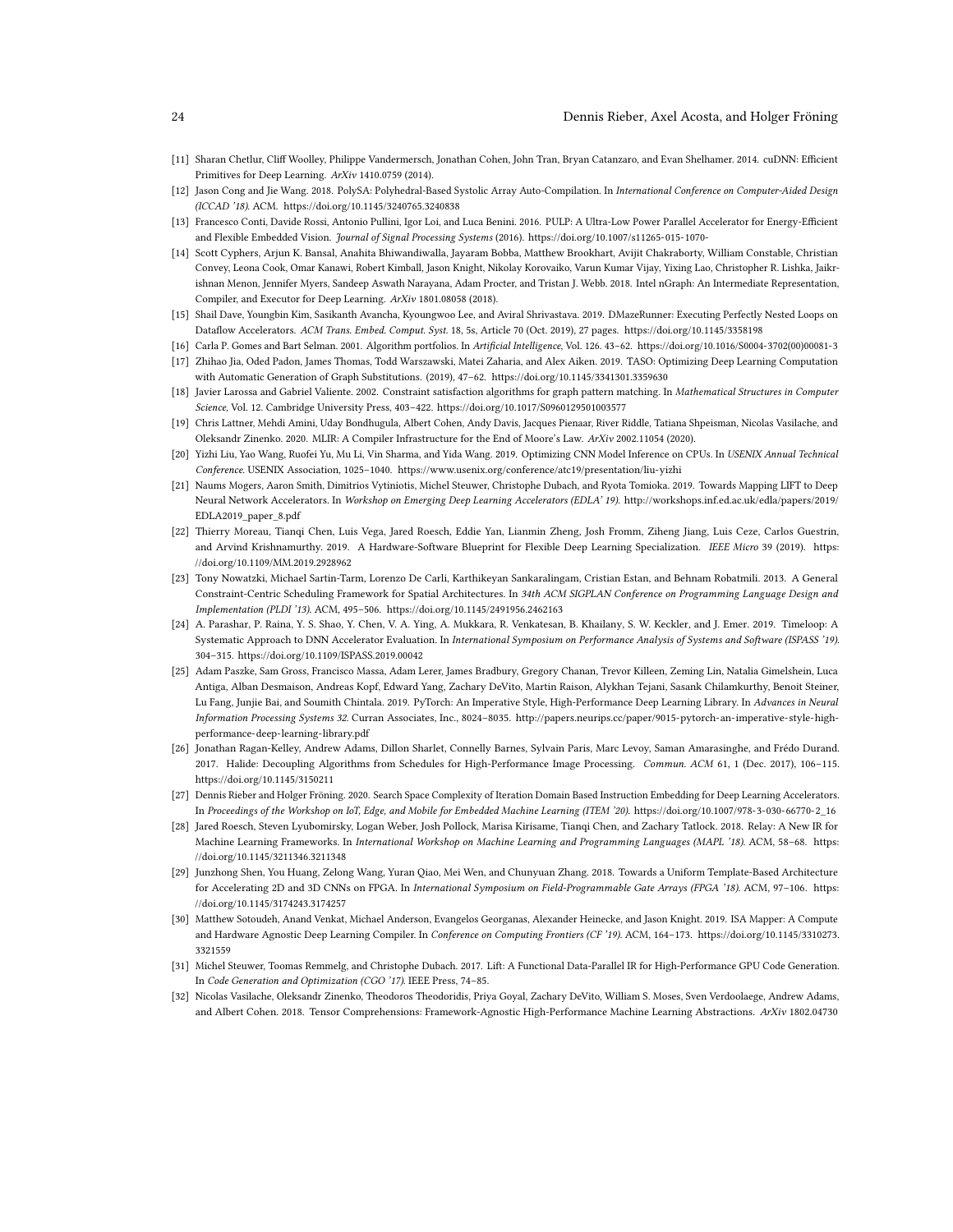#### 24 Dennis Rieber, Axel Acosta, and Holger Fröning

- <span id="page-23-5"></span>[11] Sharan Chetlur, Cliff Woolley, Philippe Vandermersch, Jonathan Cohen, John Tran, Bryan Catanzaro, and Evan Shelhamer. 2014. cuDNN: Efficient Primitives for Deep Learning. ArXiv 1410.0759 (2014).
- <span id="page-23-15"></span>[12] Jason Cong and Jie Wang. 2018. PolySA: Polyhedral-Based Systolic Array Auto-Compilation. In International Conference on Computer-Aided Design (ICCAD '18). ACM.<https://doi.org/10.1145/3240765.3240838>
- <span id="page-23-10"></span>[13] Francesco Conti, Davide Rossi, Antonio Pullini, Igor Loi, and Luca Benini. 2016. PULP: A Ultra-Low Power Parallel Accelerator for Energy-Efficient and Flexible Embedded Vision. Journal of Signal Processing Systems (2016).<https://doi.org/10.1007/s11265-015-1070->
- <span id="page-23-6"></span>[14] Scott Cyphers, Arjun K. Bansal, Anahita Bhiwandiwalla, Jayaram Bobba, Matthew Brookhart, Avijit Chakraborty, William Constable, Christian Convey, Leona Cook, Omar Kanawi, Robert Kimball, Jason Knight, Nikolay Korovaiko, Varun Kumar Vijay, Yixing Lao, Christopher R. Lishka, Jaikrishnan Menon, Jennifer Myers, Sandeep Aswath Narayana, Adam Procter, and Tristan J. Webb. 2018. Intel nGraph: An Intermediate Representation, Compiler, and Executor for Deep Learning. ArXiv 1801.08058 (2018).
- <span id="page-23-13"></span>[15] Shail Dave, Youngbin Kim, Sasikanth Avancha, Kyoungwoo Lee, and Aviral Shrivastava. 2019. DMazeRunner: Executing Perfectly Nested Loops on Dataflow Accelerators. ACM Trans. Embed. Comput. Syst. 18, 5s, Article 70 (Oct. 2019), 27 pages.<https://doi.org/10.1145/3358198>
- <span id="page-23-21"></span>[16] Carla P. Gomes and Bart Selman. 2001. Algorithm portfolios. In Artificial Intelligence, Vol. 126. 43–62. [https://doi.org/10.1016/S0004-3702\(00\)00081-3](https://doi.org/10.1016/S0004-3702(00)00081-3)
- <span id="page-23-11"></span>[17] Zhihao Jia, Oded Padon, James Thomas, Todd Warszawski, Matei Zaharia, and Alex Aiken. 2019. TASO: Optimizing Deep Learning Computation with Automatic Generation of Graph Substitutions. (2019), 47–62.<https://doi.org/10.1145/3341301.3359630>
- <span id="page-23-19"></span>[18] Javier Larossa and Gabriel Valiente. 2002. Constraint satisfaction algorithms for graph pattern matching. In Mathematical Structures in Computer Science, Vol. 12. Cambridge University Press, 403–422.<https://doi.org/10.1017/S0960129501003577>
- <span id="page-23-17"></span>[19] Chris Lattner, Mehdi Amini, Uday Bondhugula, Albert Cohen, Andy Davis, Jacques Pienaar, River Riddle, Tatiana Shpeisman, Nicolas Vasilache, and Oleksandr Zinenko. 2020. MLIR: A Compiler Infrastructure for the End of Moore's Law. ArXiv 2002.11054 (2020).
- <span id="page-23-20"></span>[20] Yizhi Liu, Yao Wang, Ruofei Yu, Mu Li, Vin Sharma, and Yida Wang. 2019. Optimizing CNN Model Inference on CPUs. In USENIX Annual Technical Conference. USENIX Association, 1025–1040.<https://www.usenix.org/conference/atc19/presentation/liu-yizhi>
- <span id="page-23-2"></span>[21] Naums Mogers, Aaron Smith, Dimitrios Vytiniotis, Michel Steuwer, Christophe Dubach, and Ryota Tomioka. 2019. Towards Mapping LIFT to Deep Neural Network Accelerators. In Workshop on Emerging Deep Learning Accelerators (EDLA' 19). [http://workshops.inf.ed.ac.uk/edla/papers/2019/](http://workshops.inf.ed.ac.uk/edla/papers/2019/EDLA2019_paper_8.pdf) [EDLA2019\\_paper\\_8.pdf](http://workshops.inf.ed.ac.uk/edla/papers/2019/EDLA2019_paper_8.pdf)
- <span id="page-23-7"></span>[22] Thierry Moreau, Tianqi Chen, Luis Vega, Jared Roesch, Eddie Yan, Lianmin Zheng, Josh Fromm, Ziheng Jiang, Luis Ceze, Carlos Guestrin, and Arvind Krishnamurthy. 2019. A Hardware-Software Blueprint for Flexible Deep Learning Specialization. IEEE Micro 39 (2019). [https:](https://doi.org/10.1109/MM.2019.2928962) [//doi.org/10.1109/MM.2019.2928962](https://doi.org/10.1109/MM.2019.2928962)
- <span id="page-23-14"></span>[23] Tony Nowatzki, Michael Sartin-Tarm, Lorenzo De Carli, Karthikeyan Sankaralingam, Cristian Estan, and Behnam Robatmili. 2013. A General Constraint-Centric Scheduling Framework for Spatial Architectures. In 34th ACM SIGPLAN Conference on Programming Language Design and Implementation (PLDI '13). ACM, 495–506.<https://doi.org/10.1145/2491956.2462163>
- <span id="page-23-12"></span>[24] A. Parashar, P. Raina, Y. S. Shao, Y. Chen, V. A. Ying, A. Mukkara, R. Venkatesan, B. Khailany, S. W. Keckler, and J. Emer. 2019. Timeloop: A Systematic Approach to DNN Accelerator Evaluation. In International Symposium on Performance Analysis of Systems and Software (ISPASS '19). 304–315.<https://doi.org/10.1109/ISPASS.2019.00042>
- <span id="page-23-0"></span>[25] Adam Paszke, Sam Gross, Francisco Massa, Adam Lerer, James Bradbury, Gregory Chanan, Trevor Killeen, Zeming Lin, Natalia Gimelshein, Luca Antiga, Alban Desmaison, Andreas Kopf, Edward Yang, Zachary DeVito, Martin Raison, Alykhan Tejani, Sasank Chilamkurthy, Benoit Steiner, Lu Fang, Junjie Bai, and Soumith Chintala. 2019. PyTorch: An Imperative Style, High-Performance Deep Learning Library. In Advances in Neural Information Processing Systems 32. Curran Associates, Inc., 8024–8035. [http://papers.neurips.cc/paper/9015-pytorch-an-imperative-style-high](http://papers.neurips.cc/paper/9015-pytorch-an-imperative-style-high-performance-deep-learning-library.pdf)[performance-deep-learning-library.pdf](http://papers.neurips.cc/paper/9015-pytorch-an-imperative-style-high-performance-deep-learning-library.pdf)
- <span id="page-23-9"></span>[26] Jonathan Ragan-Kelley, Andrew Adams, Dillon Sharlet, Connelly Barnes, Sylvain Paris, Marc Levoy, Saman Amarasinghe, and Frédo Durand. 2017. Halide: Decoupling Algorithms from Schedules for High-Performance Image Processing. Commun. ACM 61, 1 (Dec. 2017), 106–115. <https://doi.org/10.1145/3150211>
- <span id="page-23-4"></span>[27] Dennis Rieber and Holger Fröning. 2020. Search Space Complexity of Iteration Domain Based Instruction Embedding for Deep Learning Accelerators. In Proceedings of the Workshop on IoT, Edge, and Mobile for Embedded Machine Learning (ITEM '20). [https://doi.org/10.1007/978-3-030-66770-2\\_16](https://doi.org/10.1007/978-3-030-66770-2_16)
- <span id="page-23-8"></span>[28] Jared Roesch, Steven Lyubomirsky, Logan Weber, Josh Pollock, Marisa Kirisame, Tianqi Chen, and Zachary Tatlock. 2018. Relay: A New IR for Machine Learning Frameworks. In International Workshop on Machine Learning and Programming Languages (MAPL '18). ACM, 58–68. [https:](https://doi.org/10.1145/3211346.3211348) [//doi.org/10.1145/3211346.3211348](https://doi.org/10.1145/3211346.3211348)
- <span id="page-23-16"></span>[29] Junzhong Shen, You Huang, Zelong Wang, Yuran Qiao, Mei Wen, and Chunyuan Zhang. 2018. Towards a Uniform Template-Based Architecture for Accelerating 2D and 3D CNNs on FPGA. In International Symposium on Field-Programmable Gate Arrays (FPGA '18), ACM, 97-106. [https:](https://doi.org/10.1145/3174243.3174257) [//doi.org/10.1145/3174243.3174257](https://doi.org/10.1145/3174243.3174257)
- <span id="page-23-1"></span>[30] Matthew Sotoudeh, Anand Venkat, Michael Anderson, Evangelos Georganas, Alexander Heinecke, and Jason Knight. 2019. ISA Mapper: A Compute and Hardware Agnostic Deep Learning Compiler. In Conference on Computing Frontiers (CF '19). ACM, 164–173. [https://doi.org/10.1145/3310273.](https://doi.org/10.1145/3310273.3321559) [3321559](https://doi.org/10.1145/3310273.3321559)
- <span id="page-23-3"></span>[31] Michel Steuwer, Toomas Remmelg, and Christophe Dubach. 2017. Lift: A Functional Data-Parallel IR for High-Performance GPU Code Generation. In Code Generation and Optimization (CGO '17). IEEE Press, 74–85.
- <span id="page-23-18"></span>[32] Nicolas Vasilache, Oleksandr Zinenko, Theodoros Theodoridis, Priya Goyal, Zachary DeVito, William S. Moses, Sven Verdoolaege, Andrew Adams, and Albert Cohen. 2018. Tensor Comprehensions: Framework-Agnostic High-Performance Machine Learning Abstractions. ArXiv 1802.04730